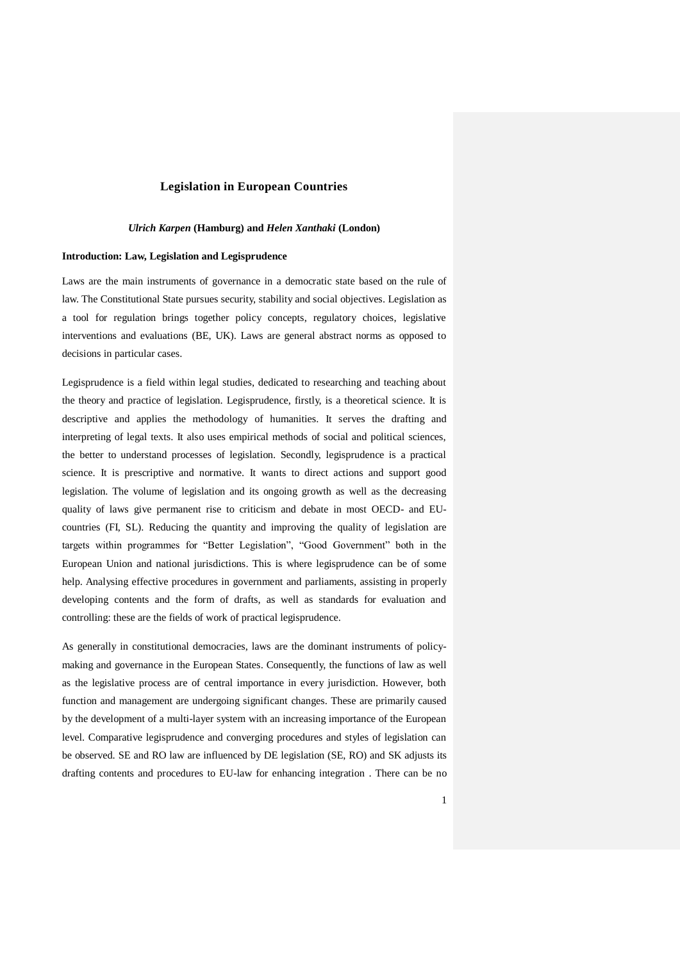# **Legislation in European Countries**

## *Ulrich Karpen* **(Hamburg) and** *Helen Xanthaki* **(London)**

## **Introduction: Law, Legislation and Legisprudence**

Laws are the main instruments of governance in a democratic state based on the rule of law. The Constitutional State pursues security, stability and social objectives. Legislation as a tool for regulation brings together policy concepts, regulatory choices, legislative interventions and evaluations (BE, UK). Laws are general abstract norms as opposed to decisions in particular cases.

Legisprudence is a field within legal studies, dedicated to researching and teaching about the theory and practice of legislation. Legisprudence, firstly, is a theoretical science. It is descriptive and applies the methodology of humanities. It serves the drafting and interpreting of legal texts. It also uses empirical methods of social and political sciences, the better to understand processes of legislation. Secondly, legisprudence is a practical science. It is prescriptive and normative. It wants to direct actions and support good legislation. The volume of legislation and its ongoing growth as well as the decreasing quality of laws give permanent rise to criticism and debate in most OECD- and EUcountries (FI, SL). Reducing the quantity and improving the quality of legislation are targets within programmes for "Better Legislation", "Good Government" both in the European Union and national jurisdictions. This is where legisprudence can be of some help. Analysing effective procedures in government and parliaments, assisting in properly developing contents and the form of drafts, as well as standards for evaluation and controlling: these are the fields of work of practical legisprudence.

As generally in constitutional democracies, laws are the dominant instruments of policymaking and governance in the European States. Consequently, the functions of law as well as the legislative process are of central importance in every jurisdiction. However, both function and management are undergoing significant changes. These are primarily caused by the development of a multi-layer system with an increasing importance of the European level. Comparative legisprudence and converging procedures and styles of legislation can be observed. SE and RO law are influenced by DE legislation (SE, RO) and SK adjusts its drafting contents and procedures to EU-law for enhancing integration . There can be no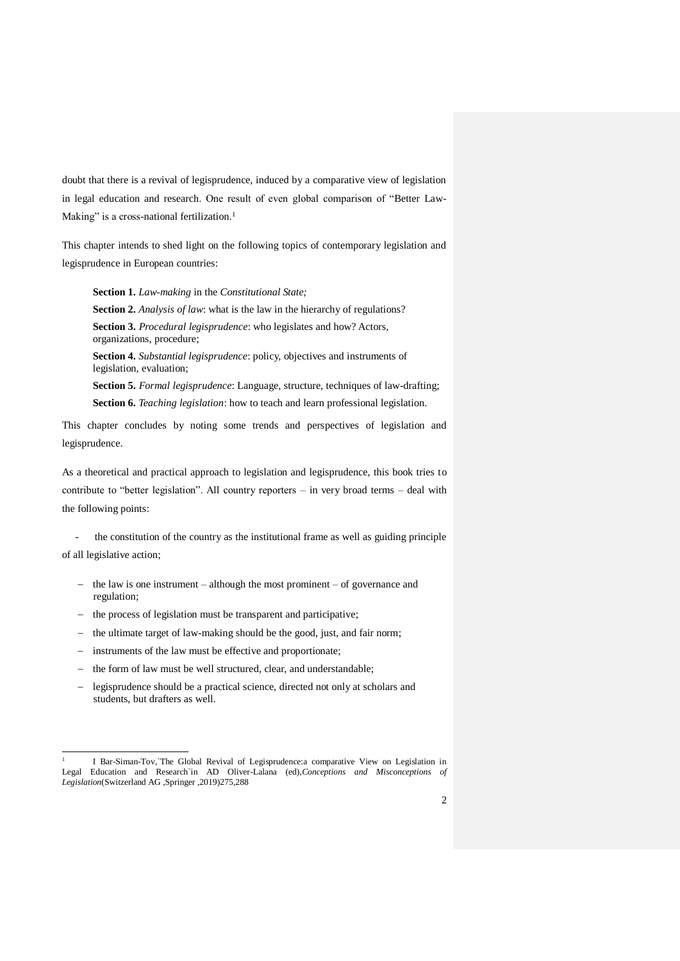doubt that there is a revival of legisprudence, induced by a comparative view of legislation in legal education and research. One result of even global comparison of "Better Law-Making" is a cross-national fertilization.<sup>1</sup>

This chapter intends to shed light on the following topics of contemporary legislation and legisprudence in European countries:

**Section 1.** *Law-making* in the *Constitutional State;* **Section 2.** *Analysis of law*: what is the law in the hierarchy of regulations? **Section 3.** *Procedural legisprudence*: who legislates and how? Actors, organizations, procedure; **Section 4.** *Substantial legisprudence*: policy, objectives and instruments of legislation, evaluation; **Section 5.** *Formal legisprudence*: Language, structure, techniques of law-drafting; **Section 6.** *Teaching legislation*: how to teach and learn professional legislation.

This chapter concludes by noting some trends and perspectives of legislation and legisprudence.

As a theoretical and practical approach to legislation and legisprudence, this book tries to contribute to "better legislation". All country reporters – in very broad terms – deal with the following points:

the constitution of the country as the institutional frame as well as guiding principle of all legislative action;

- the law is one instrument although the most prominent of governance and regulation;
- the process of legislation must be transparent and participative;
- the ultimate target of law-making should be the good, just, and fair norm;
- instruments of the law must be effective and proportionate;

1

- the form of law must be well structured, clear, and understandable;
- legisprudence should be a practical science, directed not only at scholars and students, but drafters as well.

<sup>1</sup> I Bar-Siman-Tov,`The Global Revival of Legisprudence:a comparative View on Legislation in Legal Education and Research`in AD Oliver-Lalana (ed),*Conceptions and Misconceptions of Legislation*(Switzerland AG ,Springer ,2019)275,288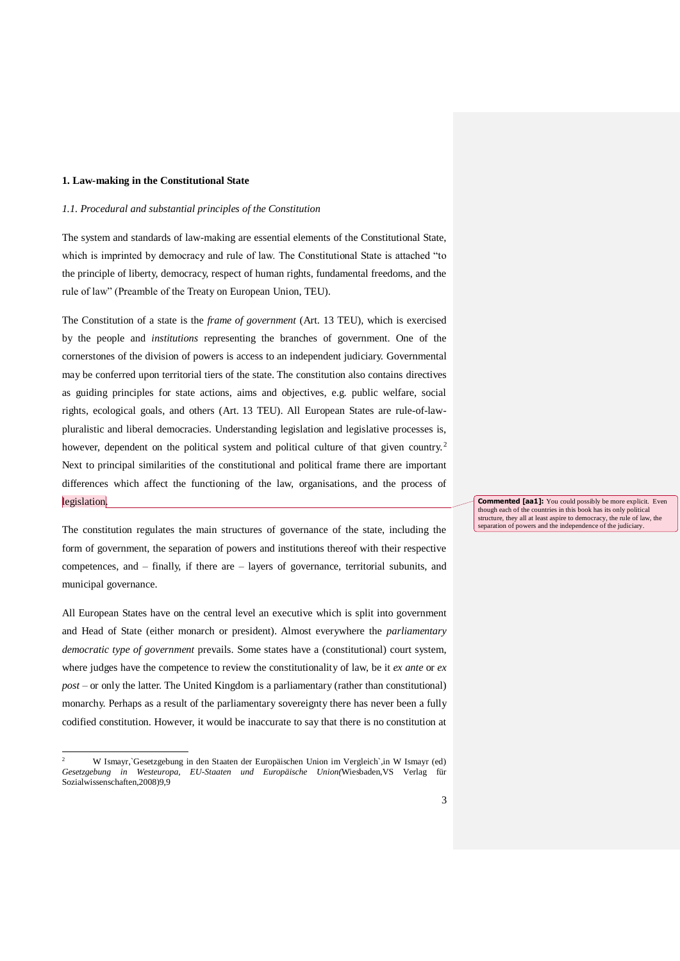## **1. Law-making in the Constitutional State**

## *1.1. Procedural and substantial principles of the Constitution*

The system and standards of law-making are essential elements of the Constitutional State, which is imprinted by democracy and rule of law. The Constitutional State is attached "to the principle of liberty, democracy, respect of human rights, fundamental freedoms, and the rule of law" (Preamble of the Treaty on European Union, TEU).

The Constitution of a state is the *frame of government* (Art. 13 TEU), which is exercised by the people and *institutions* representing the branches of government. One of the cornerstones of the division of powers is access to an independent judiciary. Governmental may be conferred upon territorial tiers of the state. The constitution also contains directives as guiding principles for state actions, aims and objectives, e.g. public welfare, social rights, ecological goals, and others (Art. 13 TEU). All European States are rule-of-lawpluralistic and liberal democracies. Understanding legislation and legislative processes is, however, dependent on the political system and political culture of that given country.<sup>2</sup> Next to principal similarities of the constitutional and political frame there are important differences which affect the functioning of the law, organisations, and the process of legislation.

The constitution regulates the main structures of governance of the state, including the form of government, the separation of powers and institutions thereof with their respective competences, and – finally, if there are – layers of governance, territorial subunits, and municipal governance.

All European States have on the central level an executive which is split into government and Head of State (either monarch or president). Almost everywhere the *parliamentary democratic type of government* prevails. Some states have a (constitutional) court system, where judges have the competence to review the constitutionality of law, be it *ex ante* or *ex post* – or only the latter. The United Kingdom is a parliamentary (rather than constitutional) monarchy. Perhaps as a result of the parliamentary sovereignty there has never been a fully codified constitution. However, it would be inaccurate to say that there is no constitution at

1

**Commented [aa1]:** You could possibly be more explicit. Even though each of the countries in this book has its only political structure, they all at least aspire to democracy, the rule of law, the separation of powers and the independence of the judiciary.

<sup>2</sup> W Ismayr,`Gesetzgebung in den Staaten der Europäischen Union im Vergleich`,in W Ismayr (ed) *Gesetzgebung in Westeuropa, EU-Staaten und Europäische Union(*Wiesbaden,VS Verlag für Sozialwissenschaften,2008)9,9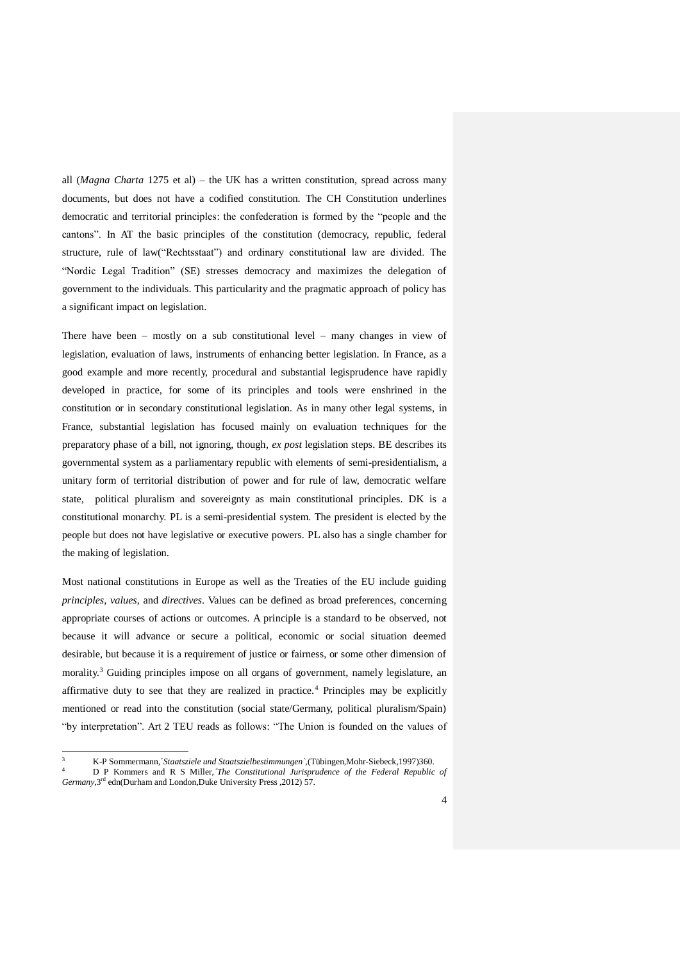all (*Magna Charta* 1275 et al) – the UK has a written constitution, spread across many documents, but does not have a codified constitution. The CH Constitution underlines democratic and territorial principles: the confederation is formed by the "people and the cantons". In AT the basic principles of the constitution (democracy, republic, federal structure, rule of law("Rechtsstaat") and ordinary constitutional law are divided. The "Nordic Legal Tradition" (SE) stresses democracy and maximizes the delegation of government to the individuals. This particularity and the pragmatic approach of policy has a significant impact on legislation.

There have been – mostly on a sub constitutional level – many changes in view of legislation, evaluation of laws, instruments of enhancing better legislation. In France, as a good example and more recently, procedural and substantial legisprudence have rapidly developed in practice, for some of its principles and tools were enshrined in the constitution or in secondary constitutional legislation. As in many other legal systems, in France, substantial legislation has focused mainly on evaluation techniques for the preparatory phase of a bill, not ignoring, though, *ex post* legislation steps. BE describes its governmental system as a parliamentary republic with elements of semi-presidentialism, a unitary form of territorial distribution of power and for rule of law, democratic welfare state, political pluralism and sovereignty as main constitutional principles. DK is a constitutional monarchy. PL is a semi-presidential system. The president is elected by the people but does not have legislative or executive powers. PL also has a single chamber for the making of legislation.

Most national constitutions in Europe as well as the Treaties of the EU include guiding *principles*, *values*, and *directives*. Values can be defined as broad preferences, concerning appropriate courses of actions or outcomes. A principle is a standard to be observed, not because it will advance or secure a political, economic or social situation deemed desirable, but because it is a requirement of justice or fairness, or some other dimension of morality.<sup>3</sup> Guiding principles impose on all organs of government, namely legislature, an affirmative duty to see that they are realized in practice.<sup>4</sup> Principles may be explicitly mentioned or read into the constitution (social state/Germany, political pluralism/Spain) "by interpretation". Art 2 TEU reads as follows: "The Union is founded on the values of

1

<sup>3</sup> K-P Sommermann,´*Staatsziele und Staatszielbestimmungen`,*(Tübingen,Mohr-Siebeck,1997)360.

<sup>4</sup> D P Kommers and R S Miller,*´The Constitutional Jurisprudence of the Federal Republic of Germany,*3 rd edn(Durham and London,Duke University Press ,2012) 57.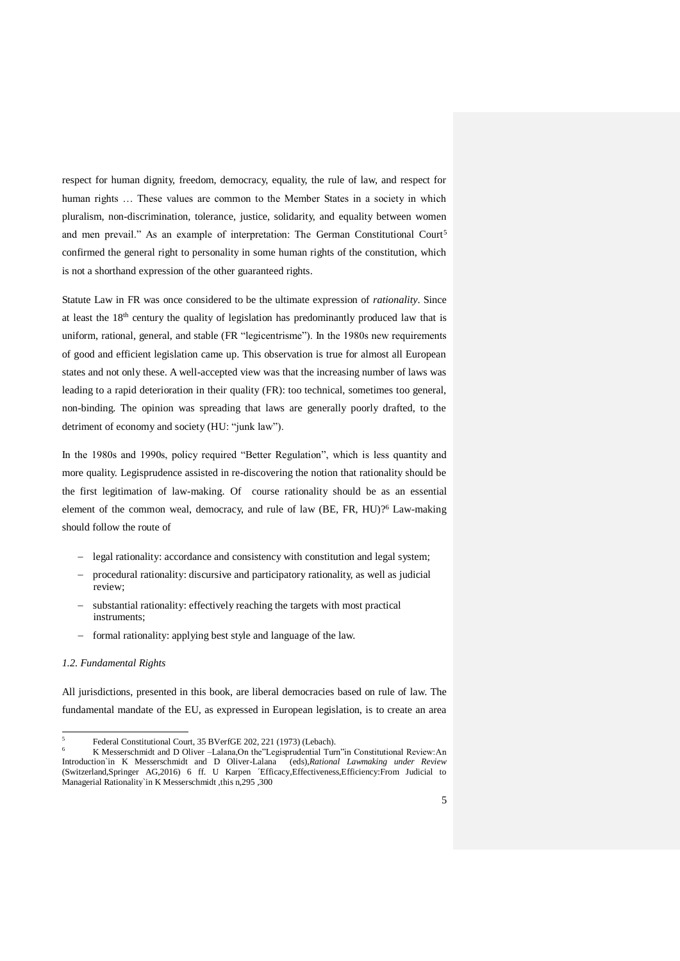respect for human dignity, freedom, democracy, equality, the rule of law, and respect for human rights … These values are common to the Member States in a society in which pluralism, non-discrimination, tolerance, justice, solidarity, and equality between women and men prevail." As an example of interpretation: The German Constitutional Court<sup>5</sup> confirmed the general right to personality in some human rights of the constitution, which is not a shorthand expression of the other guaranteed rights.

Statute Law in FR was once considered to be the ultimate expression of *rationality*. Since at least the  $18<sup>th</sup>$  century the quality of legislation has predominantly produced law that is uniform, rational, general, and stable (FR "legicentrisme"). In the 1980s new requirements of good and efficient legislation came up. This observation is true for almost all European states and not only these. A well-accepted view was that the increasing number of laws was leading to a rapid deterioration in their quality (FR): too technical, sometimes too general, non-binding. The opinion was spreading that laws are generally poorly drafted, to the detriment of economy and society (HU: "junk law").

In the 1980s and 1990s, policy required "Better Regulation", which is less quantity and more quality. Legisprudence assisted in re-discovering the notion that rationality should be the first legitimation of law-making. Of course rationality should be as an essential element of the common weal, democracy, and rule of law (BE, FR, HU)?<sup>6</sup> Law-making should follow the route of

- legal rationality: accordance and consistency with constitution and legal system;
- procedural rationality: discursive and participatory rationality, as well as judicial review;
- substantial rationality: effectively reaching the targets with most practical instruments;
- formal rationality: applying best style and language of the law.

## *1.2. Fundamental Rights*

1

All jurisdictions, presented in this book, are liberal democracies based on rule of law. The fundamental mandate of the EU, as expressed in European legislation, is to create an area

<sup>5</sup> Federal Constitutional Court, 35 BVerfGE 202, 221 (1973) (Lebach).

<sup>6</sup> K Messerschmidt and D Oliver –Lalana,On the"Legisprudential Turn"in Constitutional Review:An Introduction`in K Messerschmidt and D Oliver-Lalana (eds),*Rational Lawmaking under Review* (Switzerland,Springer AG,2016) 6 ff. U Karpen ´Efficacy,Effectiveness,Efficiency:From Judicial to Managerial Rationality`in K Messerschmidt ,this n,295 ,300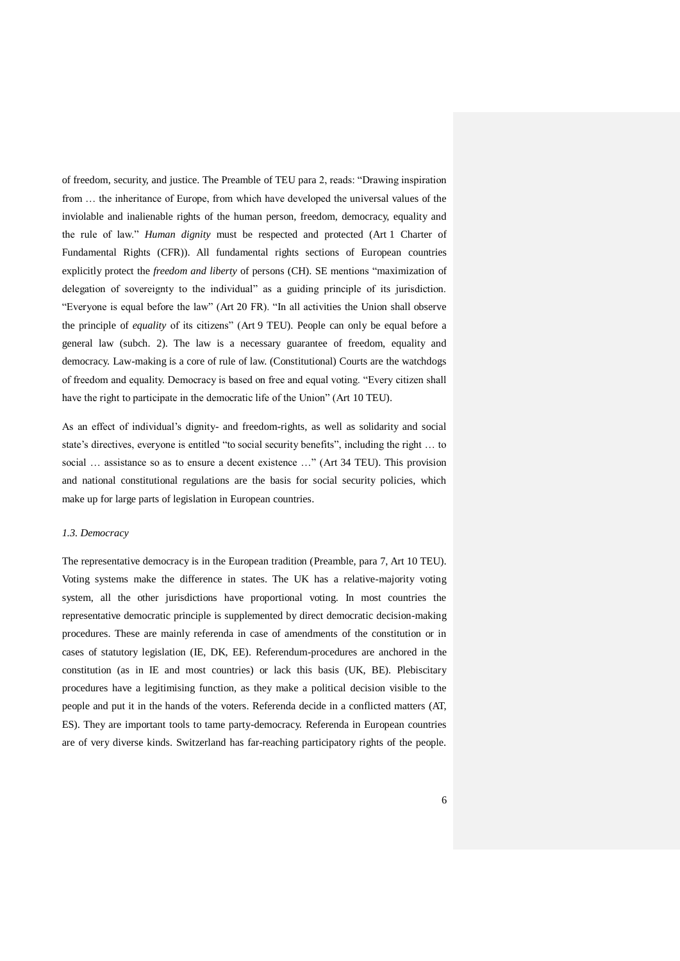of freedom, security, and justice. The Preamble of TEU para 2, reads: "Drawing inspiration from … the inheritance of Europe, from which have developed the universal values of the inviolable and inalienable rights of the human person, freedom, democracy, equality and the rule of law." *Human dignity* must be respected and protected (Art 1 Charter of Fundamental Rights (CFR)). All fundamental rights sections of European countries explicitly protect the *freedom and liberty* of persons (CH). SE mentions "maximization of delegation of sovereignty to the individual" as a guiding principle of its jurisdiction. "Everyone is equal before the law" (Art 20 FR). "In all activities the Union shall observe the principle of *equality* of its citizens" (Art 9 TEU). People can only be equal before a general law (subch. 2). The law is a necessary guarantee of freedom, equality and democracy. Law-making is a core of rule of law. (Constitutional) Courts are the watchdogs of freedom and equality. Democracy is based on free and equal voting. "Every citizen shall have the right to participate in the democratic life of the Union" (Art 10 TEU).

As an effect of individual's dignity- and freedom-rights, as well as solidarity and social state's directives, everyone is entitled "to social security benefits", including the right … to social … assistance so as to ensure a decent existence …" (Art 34 TEU). This provision and national constitutional regulations are the basis for social security policies, which make up for large parts of legislation in European countries.

### *1.3. Democracy*

The representative democracy is in the European tradition (Preamble, para 7, Art 10 TEU). Voting systems make the difference in states. The UK has a relative-majority voting system, all the other jurisdictions have proportional voting. In most countries the representative democratic principle is supplemented by direct democratic decision-making procedures. These are mainly referenda in case of amendments of the constitution or in cases of statutory legislation (IE, DK, EE). Referendum-procedures are anchored in the constitution (as in IE and most countries) or lack this basis (UK, BE). Plebiscitary procedures have a legitimising function, as they make a political decision visible to the people and put it in the hands of the voters. Referenda decide in a conflicted matters (AT, ES). They are important tools to tame party-democracy. Referenda in European countries are of very diverse kinds. Switzerland has far-reaching participatory rights of the people.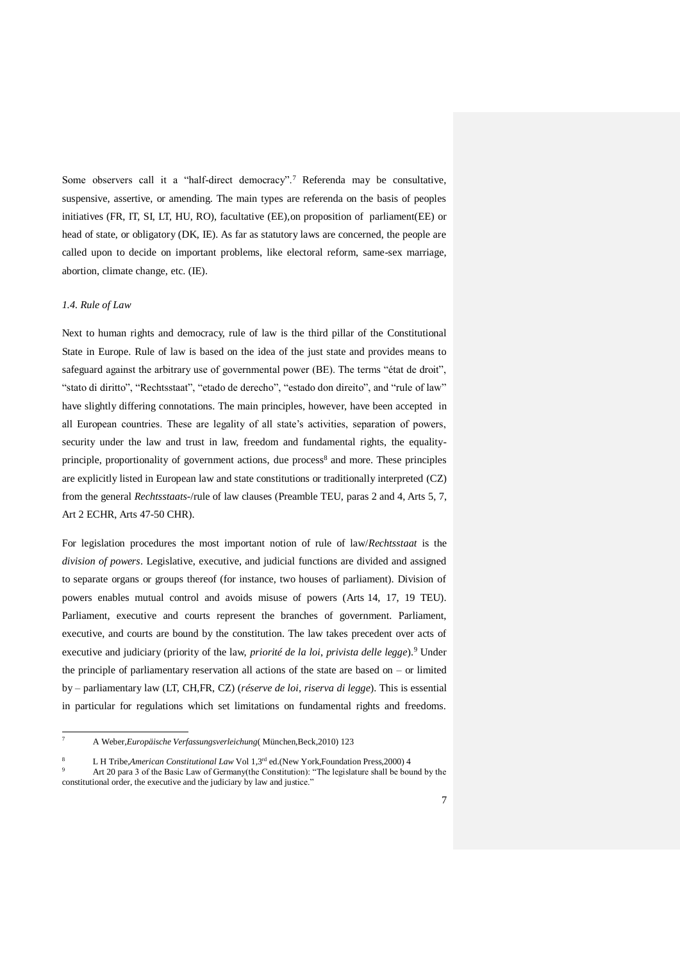Some observers call it a "half-direct democracy".<sup>7</sup> Referenda may be consultative, suspensive, assertive, or amending. The main types are referenda on the basis of peoples initiatives (FR, IT, SI, LT, HU, RO), facultative (EE),on proposition of parliament(EE) or head of state, or obligatory (DK, IE). As far as statutory laws are concerned, the people are called upon to decide on important problems, like electoral reform, same-sex marriage, abortion, climate change, etc. (IE).

### *1.4. Rule of Law*

Next to human rights and democracy, rule of law is the third pillar of the Constitutional State in Europe. Rule of law is based on the idea of the just state and provides means to safeguard against the arbitrary use of governmental power (BE). The terms "état de droit", "stato di diritto", "Rechtsstaat", "etado de derecho", "estado don direito", and "rule of law" have slightly differing connotations. The main principles, however, have been accepted in all European countries. These are legality of all state's activities, separation of powers, security under the law and trust in law, freedom and fundamental rights, the equalityprinciple, proportionality of government actions, due process<sup>8</sup> and more. These principles are explicitly listed in European law and state constitutions or traditionally interpreted (CZ) from the general *Rechtsstaats-*/rule of law clauses (Preamble TEU, paras 2 and 4, Arts 5, 7, Art 2 ECHR, Arts 47-50 CHR).

For legislation procedures the most important notion of rule of law/*Rechtsstaat* is the *division of powers*. Legislative, executive, and judicial functions are divided and assigned to separate organs or groups thereof (for instance, two houses of parliament). Division of powers enables mutual control and avoids misuse of powers (Arts 14, 17, 19 TEU). Parliament, executive and courts represent the branches of government. Parliament, executive, and courts are bound by the constitution. The law takes precedent over acts of executive and judiciary (priority of the law, *priorité de la loi*, *privista delle legge*).<sup>9</sup> Under the principle of parliamentary reservation all actions of the state are based on – or limited by – parliamentary law (LT, CH,FR, CZ) (*réserve de loi*, *riserva di legge*). This is essential in particular for regulations which set limitations on fundamental rights and freedoms.

 $\overline{7}$ <sup>7</sup> A Weber,*Europäische Verfassungsverleichung*( München,Beck,2010) 123

<sup>8</sup> L H Tribe,*American Constitutional Law* Vol 1,3rd ed.(New York,Foundation Press,2000) 4

Art 20 para 3 of the Basic Law of Germany(the Constitution): "The legislature shall be bound by the constitutional order, the executive and the judiciary by law and justice."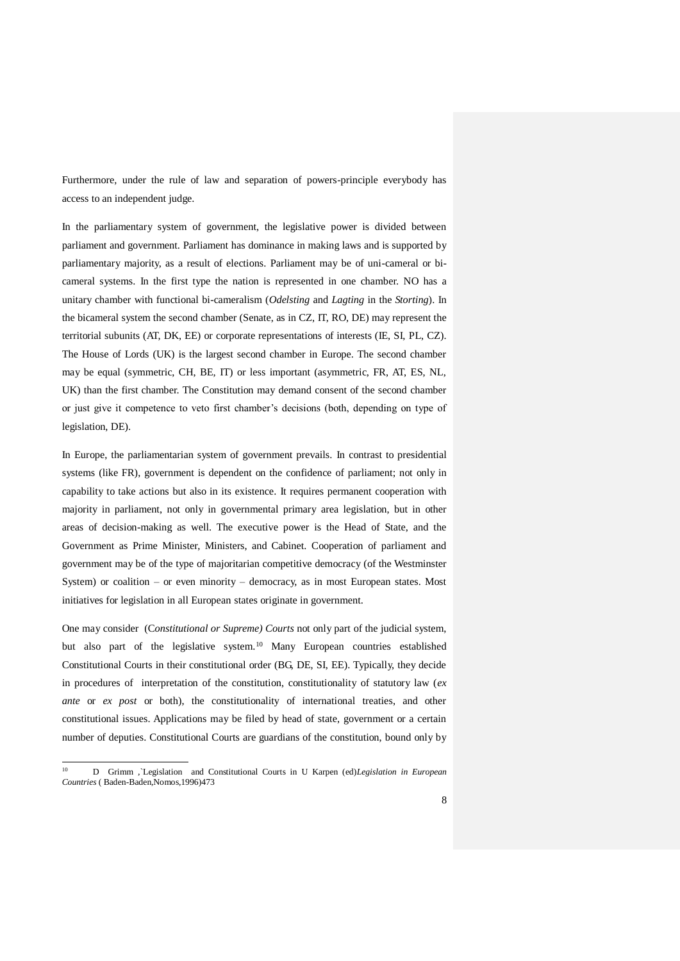Furthermore, under the rule of law and separation of powers-principle everybody has access to an independent judge.

In the parliamentary system of government, the legislative power is divided between parliament and government. Parliament has dominance in making laws and is supported by parliamentary majority, as a result of elections. Parliament may be of uni-cameral or bicameral systems. In the first type the nation is represented in one chamber. NO has a unitary chamber with functional bi-cameralism (*Odelsting* and *Lagting* in the *Storting*). In the bicameral system the second chamber (Senate, as in CZ, IT, RO, DE) may represent the territorial subunits (AT, DK, EE) or corporate representations of interests (IE, SI, PL, CZ). The House of Lords (UK) is the largest second chamber in Europe. The second chamber may be equal (symmetric, CH, BE, IT) or less important (asymmetric, FR, AT, ES, NL, UK) than the first chamber. The Constitution may demand consent of the second chamber or just give it competence to veto first chamber's decisions (both, depending on type of legislation, DE).

In Europe, the parliamentarian system of government prevails. In contrast to presidential systems (like FR), government is dependent on the confidence of parliament; not only in capability to take actions but also in its existence. It requires permanent cooperation with majority in parliament, not only in governmental primary area legislation, but in other areas of decision-making as well. The executive power is the Head of State, and the Government as Prime Minister, Ministers, and Cabinet. Cooperation of parliament and government may be of the type of majoritarian competitive democracy (of the Westminster System) or coalition – or even minority – democracy, as in most European states. Most initiatives for legislation in all European states originate in government.

One may consider (C*onstitutional or Supreme) Courts* not only part of the judicial system, but also part of the legislative system.<sup>10</sup> Many European countries established Constitutional Courts in their constitutional order (BG, DE, SI, EE). Typically, they decide in procedures of interpretation of the constitution, constitutionality of statutory law (*ex ante* or *ex post* or both), the constitutionality of international treaties, and other constitutional issues. Applications may be filed by head of state, government or a certain number of deputies. Constitutional Courts are guardians of the constitution, bound only by

 $10$ <sup>10</sup> D Grimm *,*`Legislation and Constitutional Courts in U Karpen (ed)*Legislation in European Countries* ( Baden-Baden,Nomos,1996)473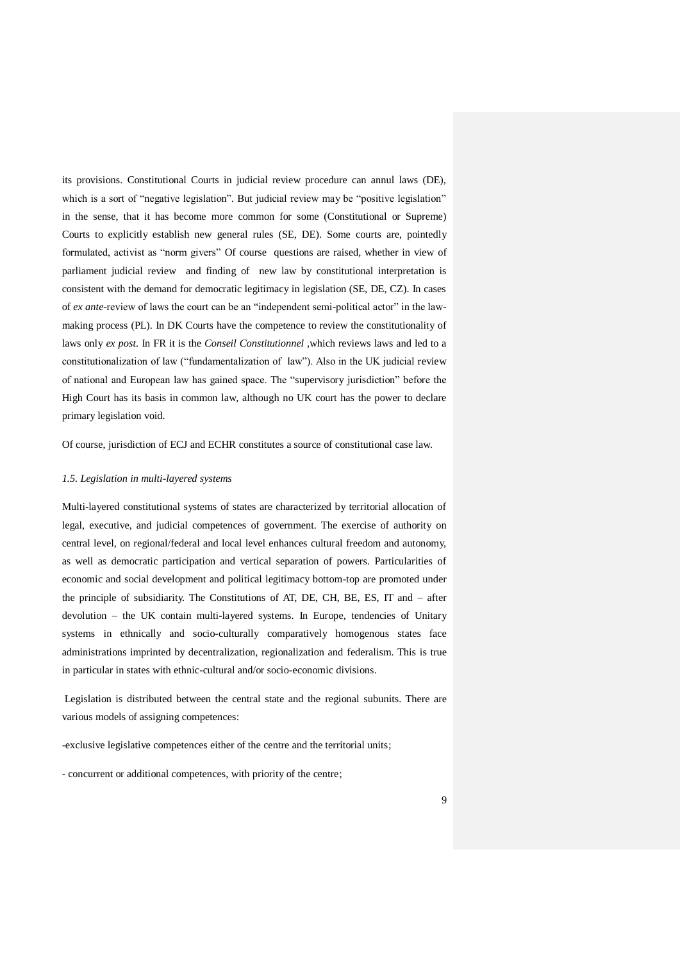its provisions. Constitutional Courts in judicial review procedure can annul laws (DE), which is a sort of "negative legislation". But judicial review may be "positive legislation" in the sense, that it has become more common for some (Constitutional or Supreme) Courts to explicitly establish new general rules (SE, DE). Some courts are, pointedly formulated, activist as "norm givers" Of course questions are raised, whether in view of parliament judicial review and finding of new law by constitutional interpretation is consistent with the demand for democratic legitimacy in legislation (SE, DE, CZ). In cases of *ex ante*-review of laws the court can be an "independent semi-political actor" in the lawmaking process (PL). In DK Courts have the competence to review the constitutionality of laws only *ex post*. In FR it is the *Conseil Constitutionnel* ,which reviews laws and led to a constitutionalization of law ("fundamentalization of law"). Also in the UK judicial review of national and European law has gained space. The "supervisory jurisdiction" before the High Court has its basis in common law, although no UK court has the power to declare primary legislation void.

Of course, jurisdiction of ECJ and ECHR constitutes a source of constitutional case law.

### *1.5. Legislation in multi-layered systems*

Multi-layered constitutional systems of states are characterized by territorial allocation of legal, executive, and judicial competences of government. The exercise of authority on central level, on regional/federal and local level enhances cultural freedom and autonomy, as well as democratic participation and vertical separation of powers. Particularities of economic and social development and political legitimacy bottom-top are promoted under the principle of subsidiarity. The Constitutions of AT, DE, CH, BE, ES, IT and – after devolution – the UK contain multi-layered systems. In Europe, tendencies of Unitary systems in ethnically and socio-culturally comparatively homogenous states face administrations imprinted by decentralization, regionalization and federalism. This is true in particular in states with ethnic-cultural and/or socio-economic divisions.

Legislation is distributed between the central state and the regional subunits. There are various models of assigning competences:

-exclusive legislative competences either of the centre and the territorial units;

- concurrent or additional competences, with priority of the centre;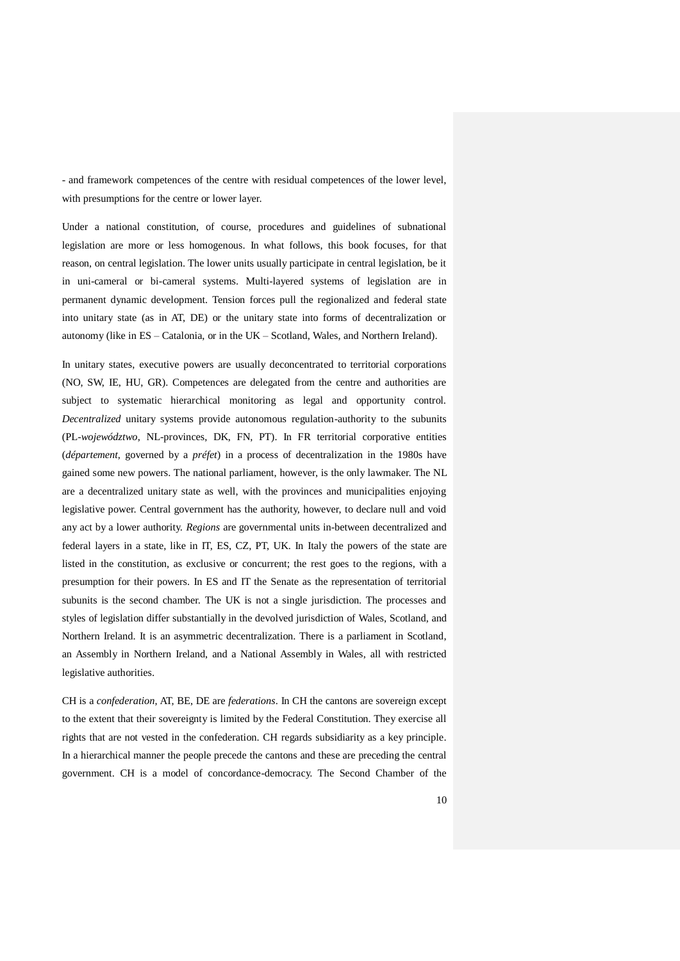- and framework competences of the centre with residual competences of the lower level, with presumptions for the centre or lower layer.

Under a national constitution, of course, procedures and guidelines of subnational legislation are more or less homogenous. In what follows, this book focuses, for that reason, on central legislation. The lower units usually participate in central legislation, be it in uni-cameral or bi-cameral systems. Multi-layered systems of legislation are in permanent dynamic development. Tension forces pull the regionalized and federal state into unitary state (as in AT, DE) or the unitary state into forms of decentralization or autonomy (like in ES – Catalonia, or in the UK – Scotland, Wales, and Northern Ireland).

In unitary states, executive powers are usually deconcentrated to territorial corporations (NO, SW, IE, HU, GR). Competences are delegated from the centre and authorities are subject to systematic hierarchical monitoring as legal and opportunity control. *Decentralized* unitary systems provide autonomous regulation-authority to the subunits (PL-*województwo*, NL-provinces, DK, FN, PT). In FR territorial corporative entities (*département*, governed by a *préfet*) in a process of decentralization in the 1980s have gained some new powers. The national parliament, however, is the only lawmaker. The NL are a decentralized unitary state as well, with the provinces and municipalities enjoying legislative power. Central government has the authority, however, to declare null and void any act by a lower authority. *Regions* are governmental units in-between decentralized and federal layers in a state, like in IT, ES, CZ, PT, UK. In Italy the powers of the state are listed in the constitution, as exclusive or concurrent; the rest goes to the regions, with a presumption for their powers. In ES and IT the Senate as the representation of territorial subunits is the second chamber. The UK is not a single jurisdiction. The processes and styles of legislation differ substantially in the devolved jurisdiction of Wales, Scotland, and Northern Ireland. It is an asymmetric decentralization. There is a parliament in Scotland, an Assembly in Northern Ireland, and a National Assembly in Wales, all with restricted legislative authorities.

CH is a *confederation*, AT, BE, DE are *federations*. In CH the cantons are sovereign except to the extent that their sovereignty is limited by the Federal Constitution. They exercise all rights that are not vested in the confederation. CH regards subsidiarity as a key principle. In a hierarchical manner the people precede the cantons and these are preceding the central government. CH is a model of concordance-democracy. The Second Chamber of the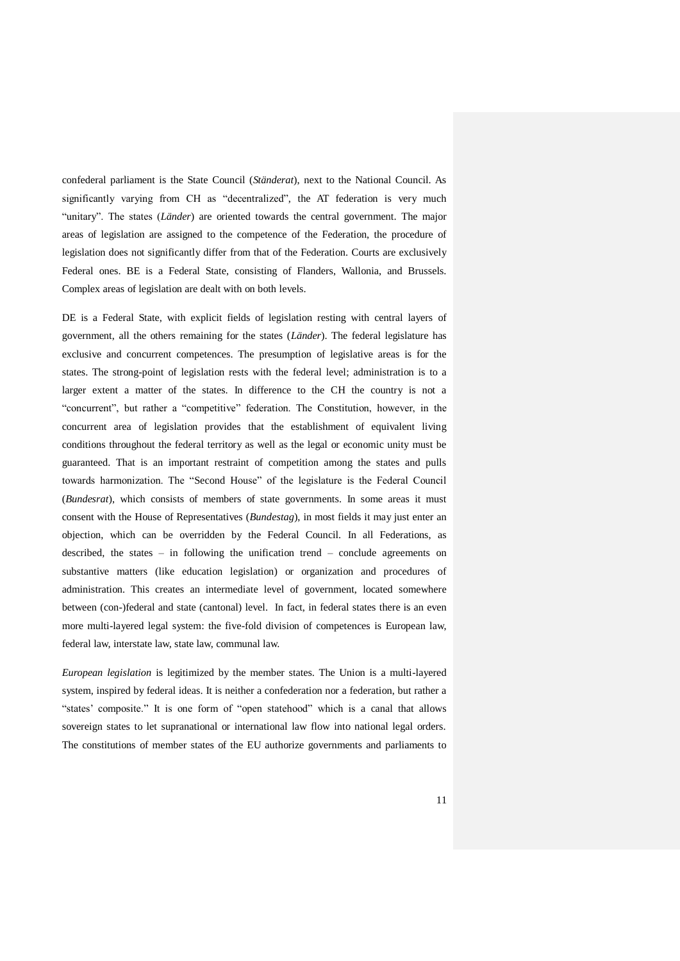confederal parliament is the State Council (*Ständerat*), next to the National Council. As significantly varying from CH as "decentralized", the AT federation is very much "unitary". The states (*Länder*) are oriented towards the central government. The major areas of legislation are assigned to the competence of the Federation, the procedure of legislation does not significantly differ from that of the Federation. Courts are exclusively Federal ones. BE is a Federal State, consisting of Flanders, Wallonia, and Brussels. Complex areas of legislation are dealt with on both levels.

DE is a Federal State, with explicit fields of legislation resting with central layers of government, all the others remaining for the states (*Länder*). The federal legislature has exclusive and concurrent competences. The presumption of legislative areas is for the states. The strong-point of legislation rests with the federal level; administration is to a larger extent a matter of the states. In difference to the CH the country is not a "concurrent", but rather a "competitive" federation. The Constitution, however, in the concurrent area of legislation provides that the establishment of equivalent living conditions throughout the federal territory as well as the legal or economic unity must be guaranteed. That is an important restraint of competition among the states and pulls towards harmonization. The "Second House" of the legislature is the Federal Council (*Bundesrat*), which consists of members of state governments. In some areas it must consent with the House of Representatives (*Bundestag*), in most fields it may just enter an objection, which can be overridden by the Federal Council. In all Federations, as described, the states – in following the unification trend – conclude agreements on substantive matters (like education legislation) or organization and procedures of administration. This creates an intermediate level of government, located somewhere between (con-)federal and state (cantonal) level. In fact, in federal states there is an even more multi-layered legal system: the five-fold division of competences is European law, federal law, interstate law, state law, communal law.

*European legislation* is legitimized by the member states. The Union is a multi-layered system, inspired by federal ideas. It is neither a confederation nor a federation, but rather a "states' composite." It is one form of "open statehood" which is a canal that allows sovereign states to let supranational or international law flow into national legal orders. The constitutions of member states of the EU authorize governments and parliaments to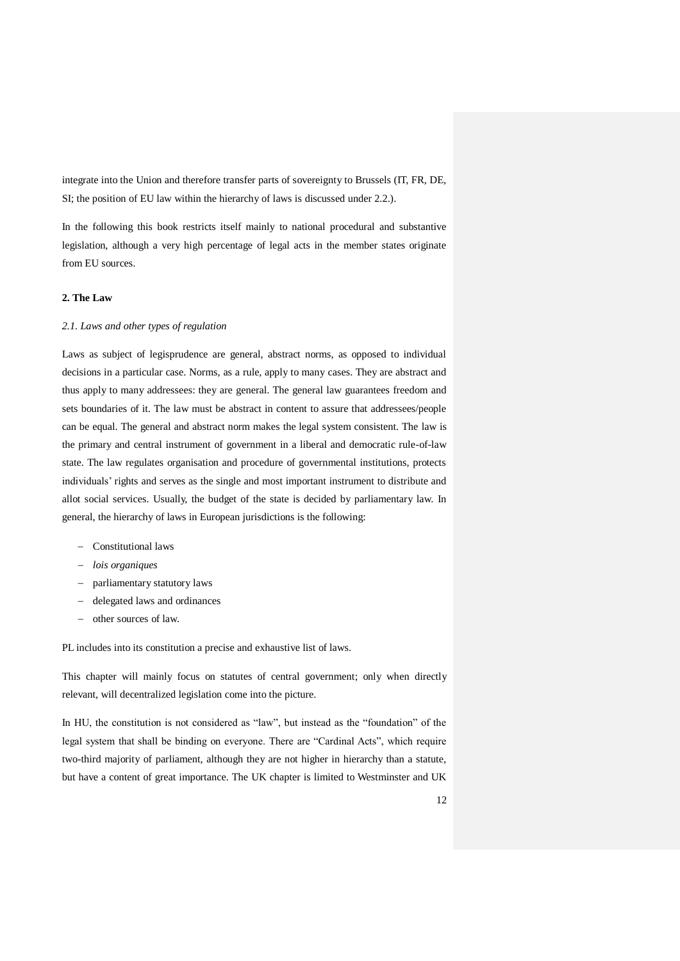integrate into the Union and therefore transfer parts of sovereignty to Brussels (IT, FR, DE, SI; the position of EU law within the hierarchy of laws is discussed under 2.2.).

In the following this book restricts itself mainly to national procedural and substantive legislation, although a very high percentage of legal acts in the member states originate from EU sources.

## **2. The Law**

#### *2.1. Laws and other types of regulation*

Laws as subject of legisprudence are general, abstract norms, as opposed to individual decisions in a particular case. Norms, as a rule, apply to many cases. They are abstract and thus apply to many addressees: they are general. The general law guarantees freedom and sets boundaries of it. The law must be abstract in content to assure that addressees/people can be equal. The general and abstract norm makes the legal system consistent. The law is the primary and central instrument of government in a liberal and democratic rule-of-law state. The law regulates organisation and procedure of governmental institutions, protects individuals' rights and serves as the single and most important instrument to distribute and allot social services. Usually, the budget of the state is decided by parliamentary law. In general, the hierarchy of laws in European jurisdictions is the following:

- Constitutional laws
- *lois organiques*
- parliamentary statutory laws
- delegated laws and ordinances
- other sources of law.

PL includes into its constitution a precise and exhaustive list of laws.

This chapter will mainly focus on statutes of central government; only when directly relevant, will decentralized legislation come into the picture.

In HU, the constitution is not considered as "law", but instead as the "foundation" of the legal system that shall be binding on everyone. There are "Cardinal Acts", which require two-third majority of parliament, although they are not higher in hierarchy than a statute, but have a content of great importance. The UK chapter is limited to Westminster and UK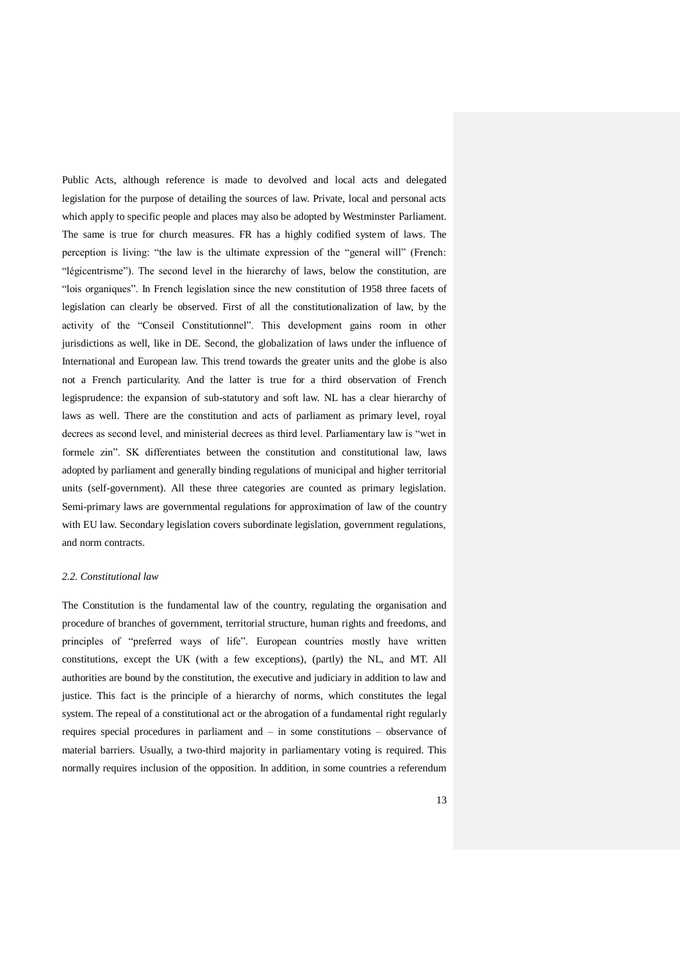Public Acts, although reference is made to devolved and local acts and delegated legislation for the purpose of detailing the sources of law. Private, local and personal acts which apply to specific people and places may also be adopted by Westminster Parliament. The same is true for church measures. FR has a highly codified system of laws. The perception is living: "the law is the ultimate expression of the "general will" (French: "légicentrisme"). The second level in the hierarchy of laws, below the constitution, are "lois organiques". In French legislation since the new constitution of 1958 three facets of legislation can clearly be observed. First of all the constitutionalization of law, by the activity of the "Conseil Constitutionnel". This development gains room in other jurisdictions as well, like in DE. Second, the globalization of laws under the influence of International and European law. This trend towards the greater units and the globe is also not a French particularity. And the latter is true for a third observation of French legisprudence: the expansion of sub-statutory and soft law. NL has a clear hierarchy of laws as well. There are the constitution and acts of parliament as primary level, royal decrees as second level, and ministerial decrees as third level. Parliamentary law is "wet in formele zin". SK differentiates between the constitution and constitutional law, laws adopted by parliament and generally binding regulations of municipal and higher territorial units (self-government). All these three categories are counted as primary legislation. Semi-primary laws are governmental regulations for approximation of law of the country with EU law. Secondary legislation covers subordinate legislation, government regulations, and norm contracts.

#### *2.2. Constitutional law*

The Constitution is the fundamental law of the country, regulating the organisation and procedure of branches of government, territorial structure, human rights and freedoms, and principles of "preferred ways of life". European countries mostly have written constitutions, except the UK (with a few exceptions), (partly) the NL, and MT. All authorities are bound by the constitution, the executive and judiciary in addition to law and justice. This fact is the principle of a hierarchy of norms, which constitutes the legal system. The repeal of a constitutional act or the abrogation of a fundamental right regularly requires special procedures in parliament and – in some constitutions – observance of material barriers. Usually, a two-third majority in parliamentary voting is required. This normally requires inclusion of the opposition. In addition, in some countries a referendum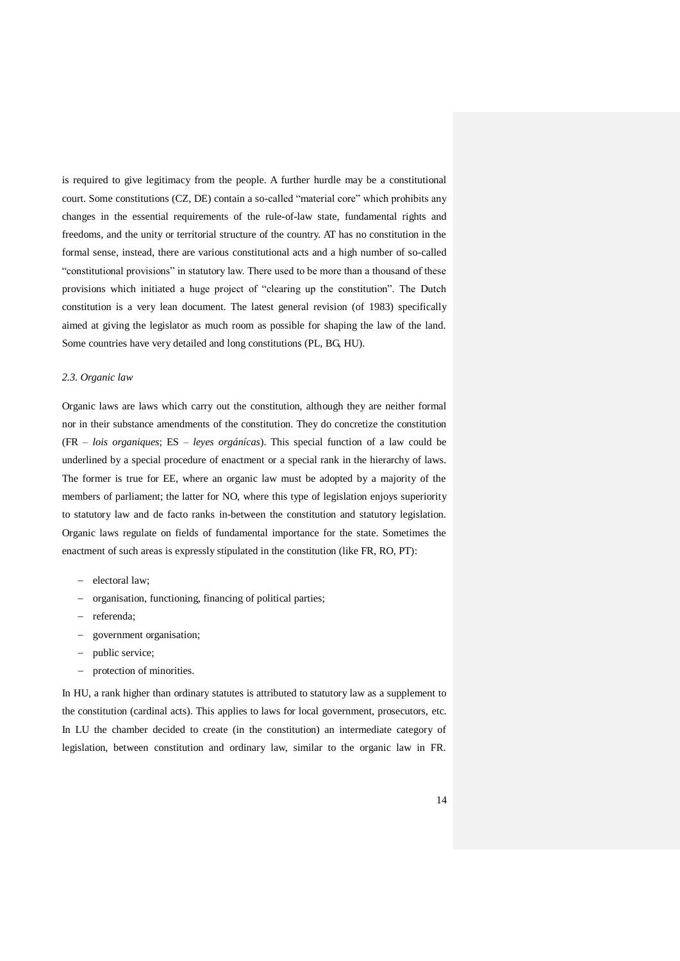is required to give legitimacy from the people. A further hurdle may be a constitutional court. Some constitutions (CZ, DE) contain a so-called "material core" which prohibits any changes in the essential requirements of the rule-of-law state, fundamental rights and freedoms, and the unity or territorial structure of the country. AT has no constitution in the formal sense, instead, there are various constitutional acts and a high number of so-called "constitutional provisions" in statutory law. There used to be more than a thousand of these provisions which initiated a huge project of "clearing up the constitution". The Dutch constitution is a very lean document. The latest general revision (of 1983) specifically aimed at giving the legislator as much room as possible for shaping the law of the land. Some countries have very detailed and long constitutions (PL, BG, HU).

### *2.3. Organic law*

Organic laws are laws which carry out the constitution, although they are neither formal nor in their substance amendments of the constitution. They do concretize the constitution (FR – *lois organiques*; ES – *leyes orgánícas*). This special function of a law could be underlined by a special procedure of enactment or a special rank in the hierarchy of laws. The former is true for EE, where an organic law must be adopted by a majority of the members of parliament; the latter for NO, where this type of legislation enjoys superiority to statutory law and de facto ranks in-between the constitution and statutory legislation. Organic laws regulate on fields of fundamental importance for the state. Sometimes the enactment of such areas is expressly stipulated in the constitution (like FR, RO, PT):

- electoral law;
- organisation, functioning, financing of political parties;
- referenda;
- government organisation;
- public service;
- protection of minorities.

In HU, a rank higher than ordinary statutes is attributed to statutory law as a supplement to the constitution (cardinal acts). This applies to laws for local government, prosecutors, etc. In LU the chamber decided to create (in the constitution) an intermediate category of legislation, between constitution and ordinary law, similar to the organic law in FR.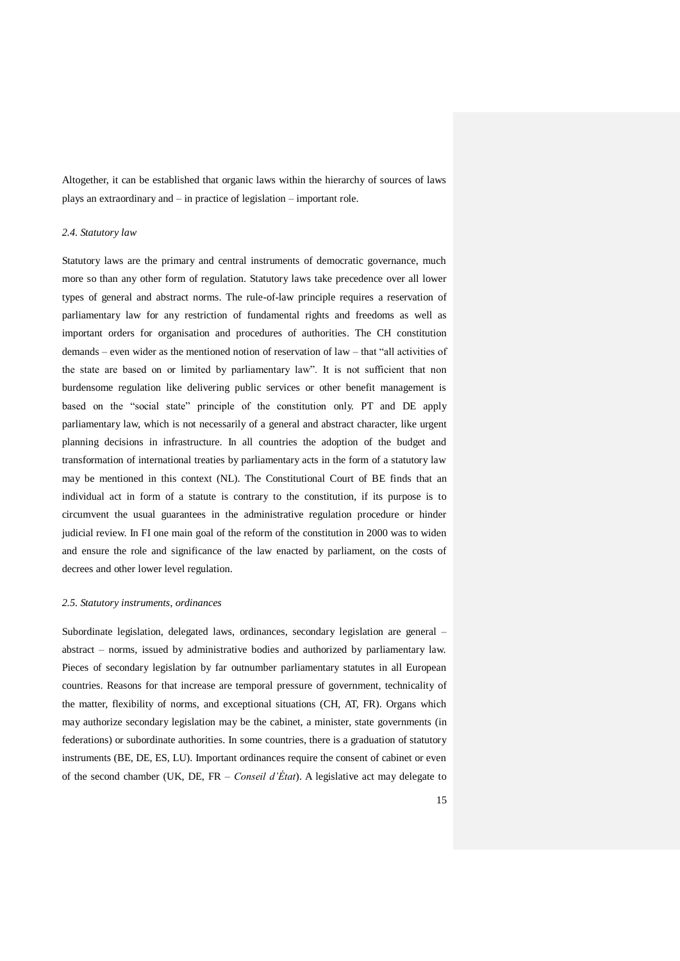Altogether, it can be established that organic laws within the hierarchy of sources of laws plays an extraordinary and – in practice of legislation – important role.

### *2.4. Statutory law*

Statutory laws are the primary and central instruments of democratic governance, much more so than any other form of regulation. Statutory laws take precedence over all lower types of general and abstract norms. The rule-of-law principle requires a reservation of parliamentary law for any restriction of fundamental rights and freedoms as well as important orders for organisation and procedures of authorities. The CH constitution demands – even wider as the mentioned notion of reservation of law – that "all activities of the state are based on or limited by parliamentary law". It is not sufficient that non burdensome regulation like delivering public services or other benefit management is based on the "social state" principle of the constitution only. PT and DE apply parliamentary law, which is not necessarily of a general and abstract character, like urgent planning decisions in infrastructure. In all countries the adoption of the budget and transformation of international treaties by parliamentary acts in the form of a statutory law may be mentioned in this context (NL). The Constitutional Court of BE finds that an individual act in form of a statute is contrary to the constitution, if its purpose is to circumvent the usual guarantees in the administrative regulation procedure or hinder judicial review. In FI one main goal of the reform of the constitution in 2000 was to widen and ensure the role and significance of the law enacted by parliament, on the costs of decrees and other lower level regulation.

### *2.5. Statutory instruments, ordinances*

Subordinate legislation, delegated laws, ordinances, secondary legislation are general – abstract – norms, issued by administrative bodies and authorized by parliamentary law. Pieces of secondary legislation by far outnumber parliamentary statutes in all European countries. Reasons for that increase are temporal pressure of government, technicality of the matter, flexibility of norms, and exceptional situations (CH, AT, FR). Organs which may authorize secondary legislation may be the cabinet, a minister, state governments (in federations) or subordinate authorities. In some countries, there is a graduation of statutory instruments (BE, DE, ES, LU). Important ordinances require the consent of cabinet or even of the second chamber (UK, DE, FR – *Conseil d'État*). A legislative act may delegate to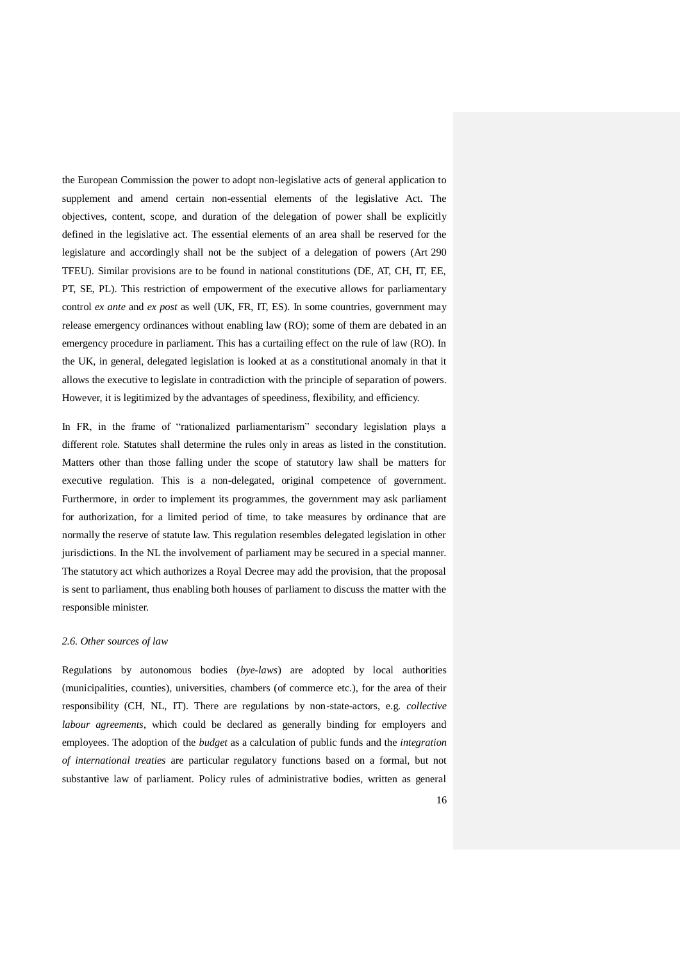the European Commission the power to adopt non-legislative acts of general application to supplement and amend certain non-essential elements of the legislative Act. The objectives, content, scope, and duration of the delegation of power shall be explicitly defined in the legislative act. The essential elements of an area shall be reserved for the legislature and accordingly shall not be the subject of a delegation of powers (Art 290 TFEU). Similar provisions are to be found in national constitutions (DE, AT, CH, IT, EE, PT, SE, PL). This restriction of empowerment of the executive allows for parliamentary control *ex ante* and *ex post* as well (UK, FR, IT, ES). In some countries, government may release emergency ordinances without enabling law (RO); some of them are debated in an emergency procedure in parliament. This has a curtailing effect on the rule of law (RO). In the UK, in general, delegated legislation is looked at as a constitutional anomaly in that it allows the executive to legislate in contradiction with the principle of separation of powers. However, it is legitimized by the advantages of speediness, flexibility, and efficiency.

In FR, in the frame of "rationalized parliamentarism" secondary legislation plays a different role. Statutes shall determine the rules only in areas as listed in the constitution. Matters other than those falling under the scope of statutory law shall be matters for executive regulation. This is a non-delegated, original competence of government. Furthermore, in order to implement its programmes, the government may ask parliament for authorization, for a limited period of time, to take measures by ordinance that are normally the reserve of statute law. This regulation resembles delegated legislation in other jurisdictions. In the NL the involvement of parliament may be secured in a special manner. The statutory act which authorizes a Royal Decree may add the provision, that the proposal is sent to parliament, thus enabling both houses of parliament to discuss the matter with the responsible minister.

## *2.6. Other sources of law*

Regulations by autonomous bodies (*bye-laws*) are adopted by local authorities (municipalities, counties), universities, chambers (of commerce etc.), for the area of their responsibility (CH, NL, IT). There are regulations by non-state-actors, e.g. *collective labour agreements*, which could be declared as generally binding for employers and employees. The adoption of the *budget* as a calculation of public funds and the *integration of international treaties* are particular regulatory functions based on a formal, but not substantive law of parliament. Policy rules of administrative bodies, written as general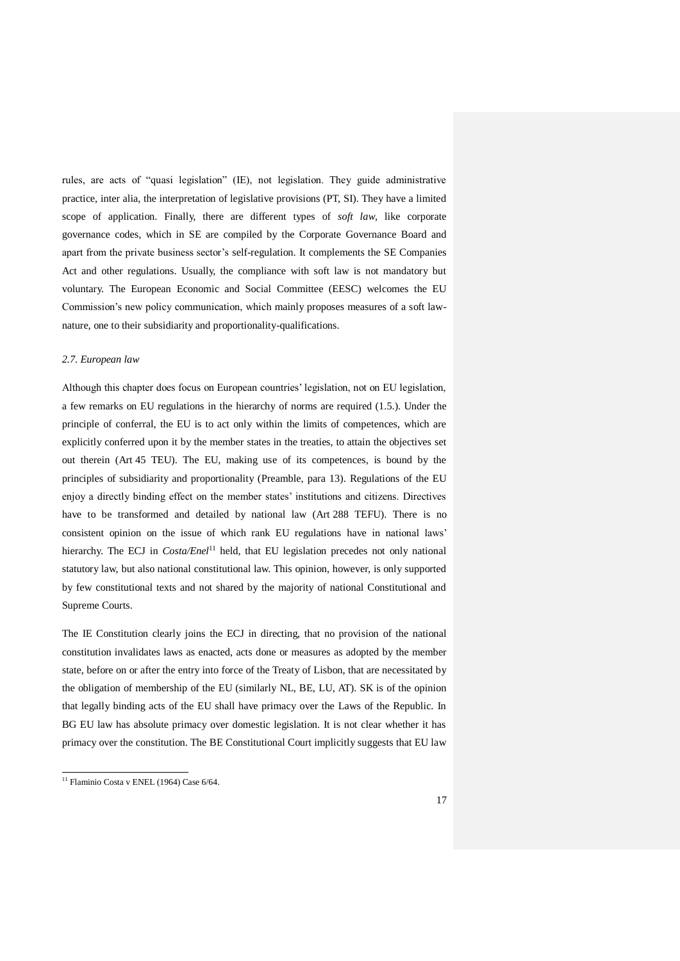rules, are acts of "quasi legislation" (IE), not legislation. They guide administrative practice, inter alia, the interpretation of legislative provisions (PT, SI). They have a limited scope of application. Finally, there are different types of *soft law*, like corporate governance codes, which in SE are compiled by the Corporate Governance Board and apart from the private business sector's self-regulation. It complements the SE Companies Act and other regulations. Usually, the compliance with soft law is not mandatory but voluntary. The European Economic and Social Committee (EESC) welcomes the EU Commission's new policy communication, which mainly proposes measures of a soft lawnature, one to their subsidiarity and proportionality-qualifications.

## *2.7. European law*

Although this chapter does focus on European countries' legislation, not on EU legislation, a few remarks on EU regulations in the hierarchy of norms are required (1.5.). Under the principle of conferral, the EU is to act only within the limits of competences, which are explicitly conferred upon it by the member states in the treaties, to attain the objectives set out therein (Art 45 TEU). The EU, making use of its competences, is bound by the principles of subsidiarity and proportionality (Preamble, para 13). Regulations of the EU enjoy a directly binding effect on the member states' institutions and citizens. Directives have to be transformed and detailed by national law (Art 288 TEFU). There is no consistent opinion on the issue of which rank EU regulations have in national laws' hierarchy. The ECJ in *Costa/Enel*<sup>11</sup> held, that EU legislation precedes not only national statutory law, but also national constitutional law. This opinion, however, is only supported by few constitutional texts and not shared by the majority of national Constitutional and Supreme Courts.

The IE Constitution clearly joins the ECJ in directing, that no provision of the national constitution invalidates laws as enacted, acts done or measures as adopted by the member state, before on or after the entry into force of the Treaty of Lisbon, that are necessitated by the obligation of membership of the EU (similarly NL, BE, LU, AT). SK is of the opinion that legally binding acts of the EU shall have primacy over the Laws of the Republic. In BG EU law has absolute primacy over domestic legislation. It is not clear whether it has primacy over the constitution. The BE Constitutional Court implicitly suggests that EU law

<u>.</u>

<sup>&</sup>lt;sup>11</sup> Flaminio Costa v ENEL (1964) Case 6/64.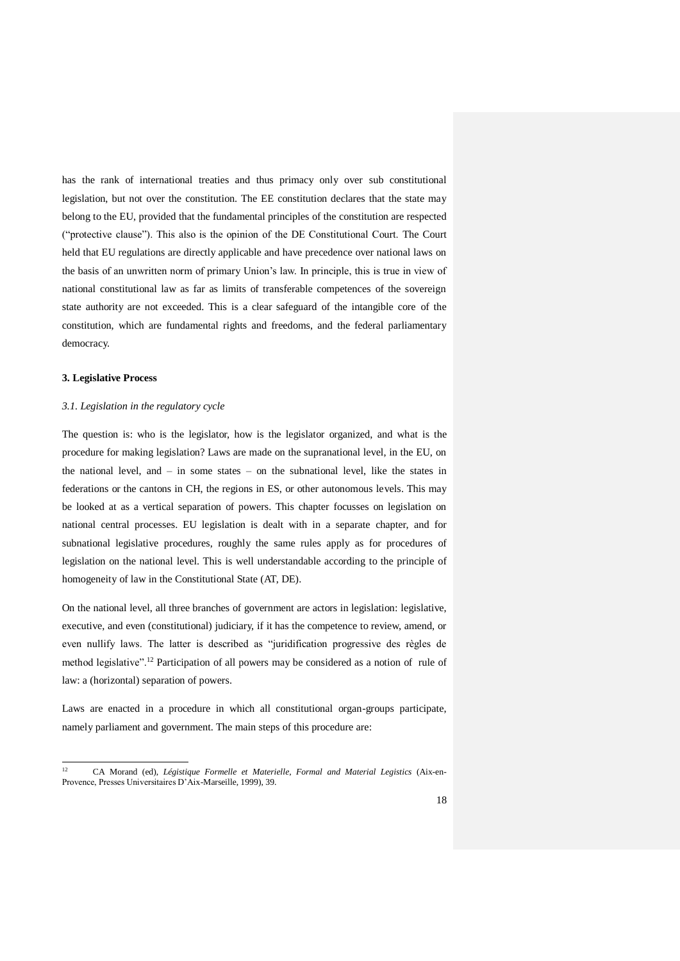has the rank of international treaties and thus primacy only over sub constitutional legislation, but not over the constitution. The EE constitution declares that the state may belong to the EU, provided that the fundamental principles of the constitution are respected ("protective clause"). This also is the opinion of the DE Constitutional Court. The Court held that EU regulations are directly applicable and have precedence over national laws on the basis of an unwritten norm of primary Union's law. In principle, this is true in view of national constitutional law as far as limits of transferable competences of the sovereign state authority are not exceeded. This is a clear safeguard of the intangible core of the constitution, which are fundamental rights and freedoms, and the federal parliamentary democracy.

## **3. Legislative Process**

## *3.1. Legislation in the regulatory cycle*

The question is: who is the legislator, how is the legislator organized, and what is the procedure for making legislation? Laws are made on the supranational level, in the EU, on the national level, and – in some states – on the subnational level, like the states in federations or the cantons in CH, the regions in ES, or other autonomous levels. This may be looked at as a vertical separation of powers. This chapter focusses on legislation on national central processes. EU legislation is dealt with in a separate chapter, and for subnational legislative procedures, roughly the same rules apply as for procedures of legislation on the national level. This is well understandable according to the principle of homogeneity of law in the Constitutional State (AT, DE).

On the national level, all three branches of government are actors in legislation: legislative, executive, and even (constitutional) judiciary, if it has the competence to review, amend, or even nullify laws. The latter is described as "juridification progressive des règles de method legislative".<sup>12</sup> Participation of all powers may be considered as a notion of rule of law: a (horizontal) separation of powers.

Laws are enacted in a procedure in which all constitutional organ-groups participate, namely parliament and government. The main steps of this procedure are:

 $12$ <sup>12</sup> CA Morand (ed), *Légistique Formelle et Materielle*, *Formal and Material Legistics* (Aix-en-Provence, Presses Universitaires D'Aix-Marseille, 1999), 39.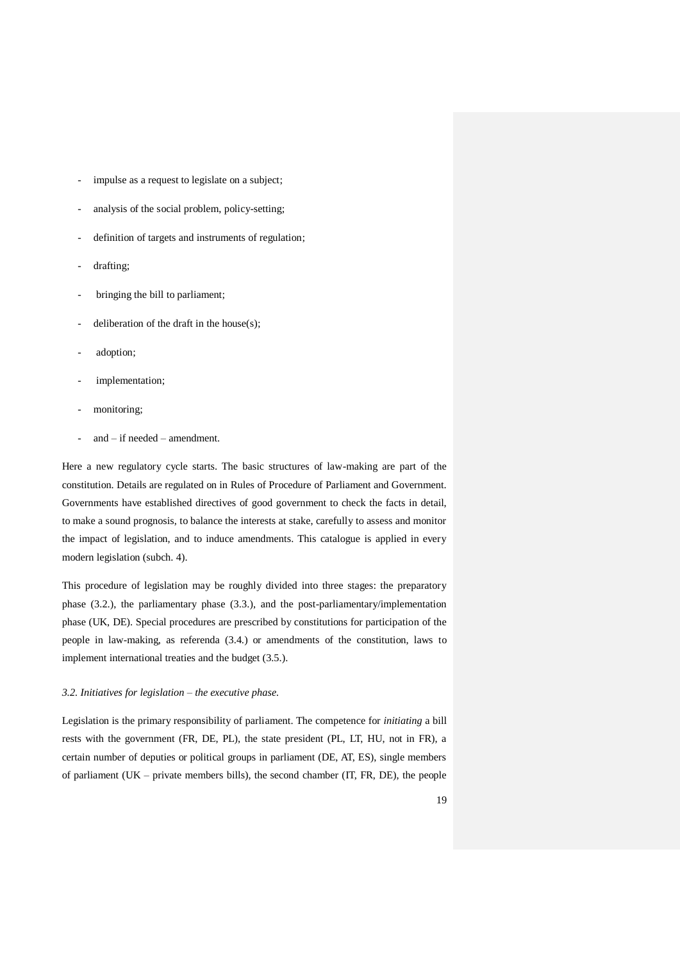- impulse as a request to legislate on a subject;
- analysis of the social problem, policy-setting;
- definition of targets and instruments of regulation;
- drafting;
- bringing the bill to parliament;
- deliberation of the draft in the house $(s)$ ;
- adoption;
- implementation;
- monitoring;
- $and if needed amendment.$

Here a new regulatory cycle starts. The basic structures of law-making are part of the constitution. Details are regulated on in Rules of Procedure of Parliament and Government. Governments have established directives of good government to check the facts in detail, to make a sound prognosis, to balance the interests at stake, carefully to assess and monitor the impact of legislation, and to induce amendments. This catalogue is applied in every modern legislation (subch. 4).

This procedure of legislation may be roughly divided into three stages: the preparatory phase (3.2.), the parliamentary phase (3.3.), and the post-parliamentary/implementation phase (UK, DE). Special procedures are prescribed by constitutions for participation of the people in law-making, as referenda (3.4.) or amendments of the constitution, laws to implement international treaties and the budget (3.5.).

# *3.2. Initiatives for legislation – the executive phase.*

Legislation is the primary responsibility of parliament. The competence for *initiating* a bill rests with the government (FR, DE, PL), the state president (PL, LT, HU, not in FR), a certain number of deputies or political groups in parliament (DE, AT, ES), single members of parliament (UK – private members bills), the second chamber ( $IT$ ,  $FR$ ,  $DE$ ), the people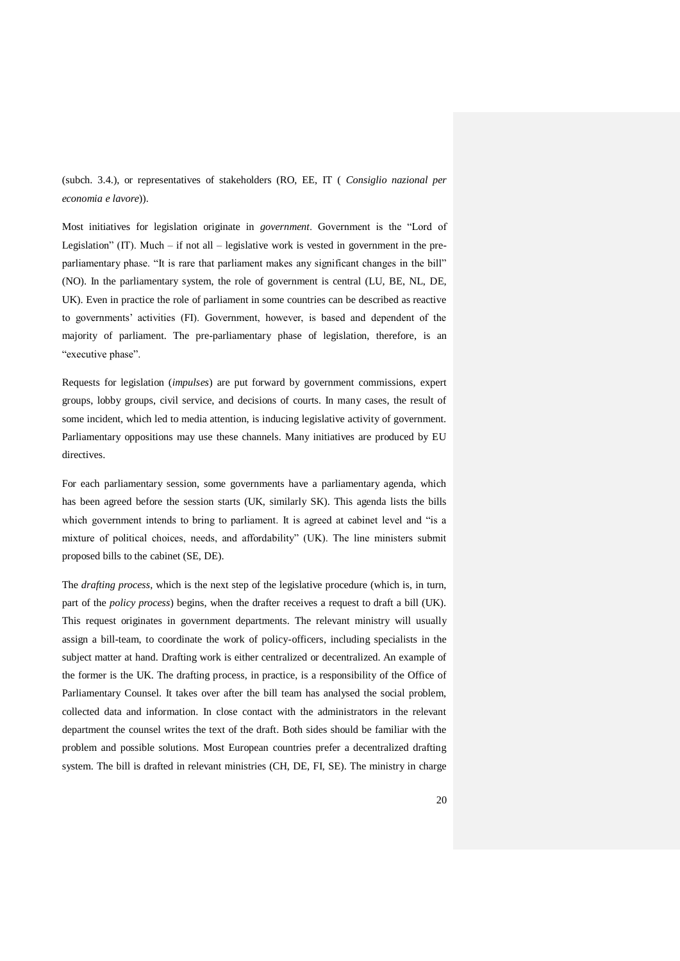(subch. 3.4.), or representatives of stakeholders (RO, EE, IT ( *Consiglio nazional per economia e lavore*)).

Most initiatives for legislation originate in *government*. Government is the "Lord of Legislation" (IT). Much – if not all – legislative work is vested in government in the preparliamentary phase. "It is rare that parliament makes any significant changes in the bill" (NO). In the parliamentary system, the role of government is central (LU, BE, NL, DE, UK). Even in practice the role of parliament in some countries can be described as reactive to governments' activities (FI). Government, however, is based and dependent of the majority of parliament. The pre-parliamentary phase of legislation, therefore, is an "executive phase".

Requests for legislation (*impulses*) are put forward by government commissions, expert groups, lobby groups, civil service, and decisions of courts. In many cases, the result of some incident, which led to media attention, is inducing legislative activity of government. Parliamentary oppositions may use these channels. Many initiatives are produced by EU directives.

For each parliamentary session, some governments have a parliamentary agenda, which has been agreed before the session starts (UK, similarly SK). This agenda lists the bills which government intends to bring to parliament. It is agreed at cabinet level and "is a mixture of political choices, needs, and affordability" (UK). The line ministers submit proposed bills to the cabinet (SE, DE).

The *drafting process*, which is the next step of the legislative procedure (which is, in turn, part of the *policy process*) begins, when the drafter receives a request to draft a bill (UK). This request originates in government departments. The relevant ministry will usually assign a bill-team, to coordinate the work of policy-officers, including specialists in the subject matter at hand. Drafting work is either centralized or decentralized. An example of the former is the UK. The drafting process, in practice, is a responsibility of the Office of Parliamentary Counsel. It takes over after the bill team has analysed the social problem, collected data and information. In close contact with the administrators in the relevant department the counsel writes the text of the draft. Both sides should be familiar with the problem and possible solutions. Most European countries prefer a decentralized drafting system. The bill is drafted in relevant ministries (CH, DE, FI, SE). The ministry in charge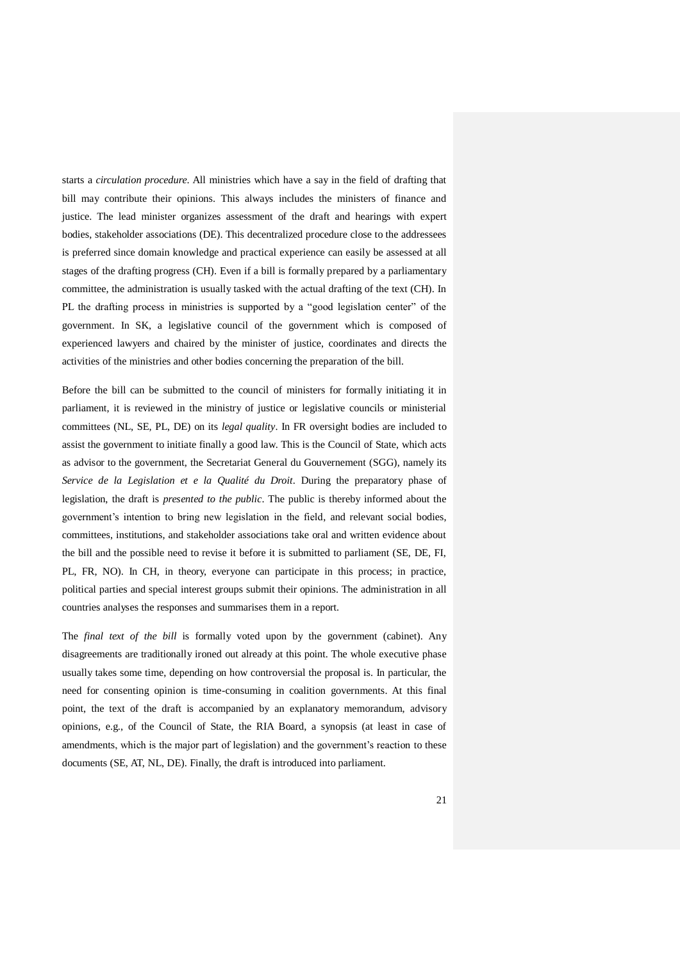starts a *circulation procedure*. All ministries which have a say in the field of drafting that bill may contribute their opinions. This always includes the ministers of finance and justice. The lead minister organizes assessment of the draft and hearings with expert bodies, stakeholder associations (DE). This decentralized procedure close to the addressees is preferred since domain knowledge and practical experience can easily be assessed at all stages of the drafting progress (CH). Even if a bill is formally prepared by a parliamentary committee, the administration is usually tasked with the actual drafting of the text (CH). In PL the drafting process in ministries is supported by a "good legislation center" of the government. In SK, a legislative council of the government which is composed of experienced lawyers and chaired by the minister of justice, coordinates and directs the activities of the ministries and other bodies concerning the preparation of the bill.

Before the bill can be submitted to the council of ministers for formally initiating it in parliament, it is reviewed in the ministry of justice or legislative councils or ministerial committees (NL, SE, PL, DE) on its *legal quality*. In FR oversight bodies are included to assist the government to initiate finally a good law. This is the Council of State, which acts as advisor to the government, the Secretariat General du Gouvernement (SGG), namely its *Service de la Legislation et e la Qualité du Droit*. During the preparatory phase of legislation, the draft is *presented to the public*. The public is thereby informed about the government's intention to bring new legislation in the field, and relevant social bodies, committees, institutions, and stakeholder associations take oral and written evidence about the bill and the possible need to revise it before it is submitted to parliament (SE, DE, FI, PL, FR, NO). In CH, in theory, everyone can participate in this process; in practice, political parties and special interest groups submit their opinions. The administration in all countries analyses the responses and summarises them in a report.

The *final text of the bill* is formally voted upon by the government (cabinet). Any disagreements are traditionally ironed out already at this point. The whole executive phase usually takes some time, depending on how controversial the proposal is. In particular, the need for consenting opinion is time-consuming in coalition governments. At this final point, the text of the draft is accompanied by an explanatory memorandum, advisory opinions, e.g., of the Council of State, the RIA Board, a synopsis (at least in case of amendments, which is the major part of legislation) and the government's reaction to these documents (SE, AT, NL, DE). Finally, the draft is introduced into parliament.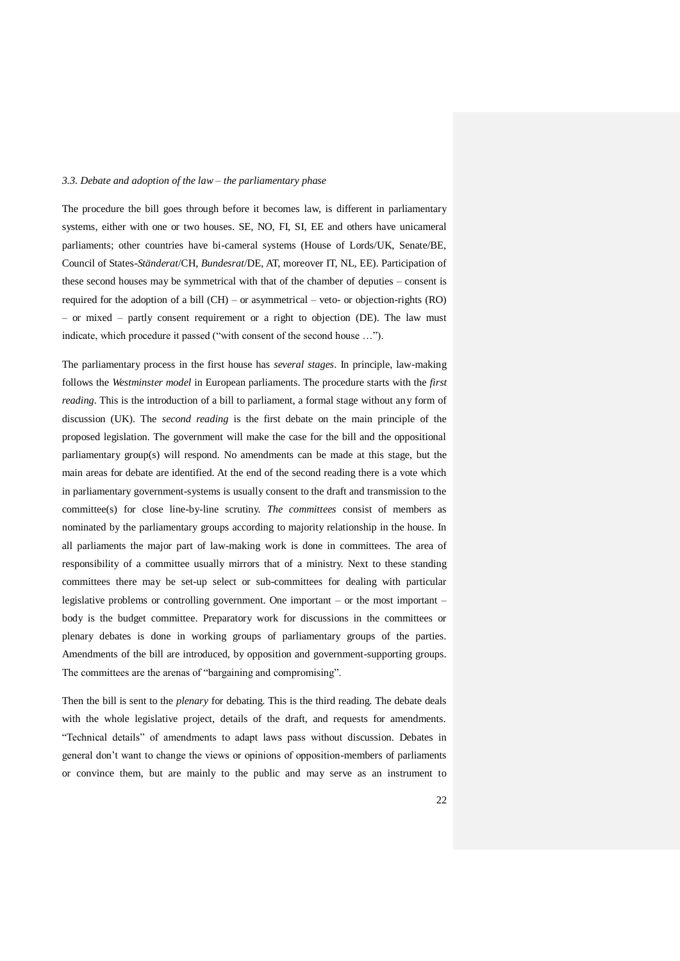## *3.3. Debate and adoption of the law – the parliamentary phase*

The procedure the bill goes through before it becomes law, is different in parliamentary systems, either with one or two houses. SE, NO, FI, SI, EE and others have unicameral parliaments; other countries have bi-cameral systems (House of Lords/UK, Senate/BE, Council of States-*Ständerat*/CH, *Bundesrat*/DE, AT, moreover IT, NL, EE). Participation of these second houses may be symmetrical with that of the chamber of deputies – consent is required for the adoption of a bill (CH) – or asymmetrical – veto- or objection-rights (RO) – or mixed – partly consent requirement or a right to objection (DE). The law must indicate, which procedure it passed ("with consent of the second house …").

The parliamentary process in the first house has *several stages*. In principle, law-making follows the *Westminster model* in European parliaments. The procedure starts with the *first reading*. This is the introduction of a bill to parliament, a formal stage without any form of discussion (UK). The *second reading* is the first debate on the main principle of the proposed legislation. The government will make the case for the bill and the oppositional parliamentary group(s) will respond. No amendments can be made at this stage, but the main areas for debate are identified. At the end of the second reading there is a vote which in parliamentary government-systems is usually consent to the draft and transmission to the committee(s) for close line-by-line scrutiny. *The committees* consist of members as nominated by the parliamentary groups according to majority relationship in the house. In all parliaments the major part of law-making work is done in committees. The area of responsibility of a committee usually mirrors that of a ministry. Next to these standing committees there may be set-up select or sub-committees for dealing with particular legislative problems or controlling government. One important – or the most important – body is the budget committee. Preparatory work for discussions in the committees or plenary debates is done in working groups of parliamentary groups of the parties. Amendments of the bill are introduced, by opposition and government-supporting groups. The committees are the arenas of "bargaining and compromising".

Then the bill is sent to the *plenary* for debating. This is the third reading. The debate deals with the whole legislative project, details of the draft, and requests for amendments. "Technical details" of amendments to adapt laws pass without discussion. Debates in general don't want to change the views or opinions of opposition-members of parliaments or convince them, but are mainly to the public and may serve as an instrument to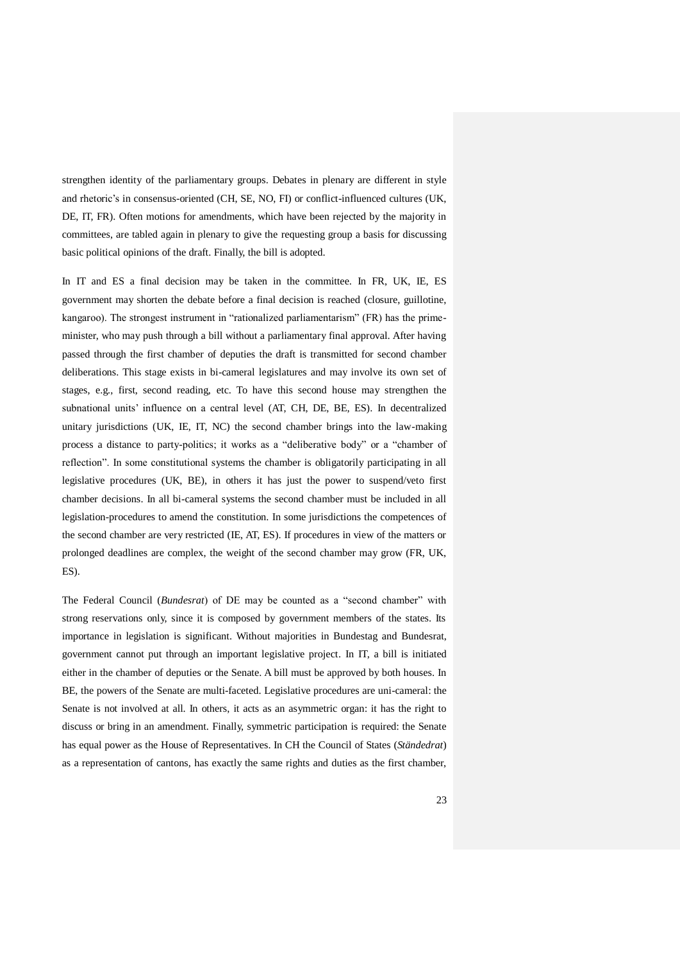strengthen identity of the parliamentary groups. Debates in plenary are different in style and rhetoric's in consensus-oriented (CH, SE, NO, FI) or conflict-influenced cultures (UK, DE, IT, FR). Often motions for amendments, which have been rejected by the majority in committees, are tabled again in plenary to give the requesting group a basis for discussing basic political opinions of the draft. Finally, the bill is adopted.

In IT and ES a final decision may be taken in the committee. In FR, UK, IE, ES government may shorten the debate before a final decision is reached (closure, guillotine, kangaroo). The strongest instrument in "rationalized parliamentarism" (FR) has the primeminister, who may push through a bill without a parliamentary final approval. After having passed through the first chamber of deputies the draft is transmitted for second chamber deliberations. This stage exists in bi-cameral legislatures and may involve its own set of stages, e.g., first, second reading, etc. To have this second house may strengthen the subnational units' influence on a central level (AT, CH, DE, BE, ES). In decentralized unitary jurisdictions (UK, IE, IT, NC) the second chamber brings into the law-making process a distance to party-politics; it works as a "deliberative body" or a "chamber of reflection". In some constitutional systems the chamber is obligatorily participating in all legislative procedures (UK, BE), in others it has just the power to suspend/veto first chamber decisions. In all bi-cameral systems the second chamber must be included in all legislation-procedures to amend the constitution. In some jurisdictions the competences of the second chamber are very restricted (IE, AT, ES). If procedures in view of the matters or prolonged deadlines are complex, the weight of the second chamber may grow (FR, UK, ES).

The Federal Council (*Bundesrat*) of DE may be counted as a "second chamber" with strong reservations only, since it is composed by government members of the states. Its importance in legislation is significant. Without majorities in Bundestag and Bundesrat, government cannot put through an important legislative project. In IT, a bill is initiated either in the chamber of deputies or the Senate. A bill must be approved by both houses. In BE, the powers of the Senate are multi-faceted. Legislative procedures are uni-cameral: the Senate is not involved at all. In others, it acts as an asymmetric organ: it has the right to discuss or bring in an amendment. Finally, symmetric participation is required: the Senate has equal power as the House of Representatives. In CH the Council of States (*Ständedrat*) as a representation of cantons, has exactly the same rights and duties as the first chamber,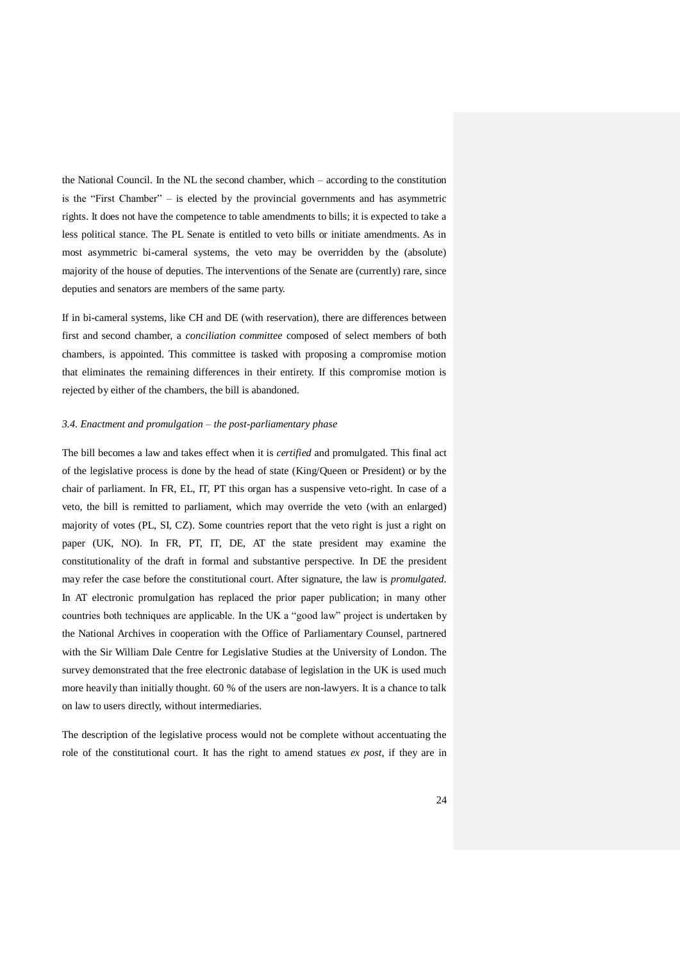the National Council. In the NL the second chamber, which – according to the constitution is the "First Chamber" – is elected by the provincial governments and has asymmetric rights. It does not have the competence to table amendments to bills; it is expected to take a less political stance. The PL Senate is entitled to veto bills or initiate amendments. As in most asymmetric bi-cameral systems, the veto may be overridden by the (absolute) majority of the house of deputies. The interventions of the Senate are (currently) rare, since deputies and senators are members of the same party.

If in bi-cameral systems, like CH and DE (with reservation), there are differences between first and second chamber, a *conciliation committee* composed of select members of both chambers, is appointed. This committee is tasked with proposing a compromise motion that eliminates the remaining differences in their entirety. If this compromise motion is rejected by either of the chambers, the bill is abandoned.

### *3.4. Enactment and promulgation – the post-parliamentary phase*

The bill becomes a law and takes effect when it is *certified* and promulgated. This final act of the legislative process is done by the head of state (King/Queen or President) or by the chair of parliament. In FR, EL, IT, PT this organ has a suspensive veto-right. In case of a veto, the bill is remitted to parliament, which may override the veto (with an enlarged) majority of votes (PL, SI, CZ). Some countries report that the veto right is just a right on paper (UK, NO). In FR, PT, IT, DE, AT the state president may examine the constitutionality of the draft in formal and substantive perspective. In DE the president may refer the case before the constitutional court. After signature, the law is *promulgated*. In AT electronic promulgation has replaced the prior paper publication; in many other countries both techniques are applicable. In the UK a "good law" project is undertaken by the National Archives in cooperation with the Office of Parliamentary Counsel, partnered with the Sir William Dale Centre for Legislative Studies at the University of London. The survey demonstrated that the free electronic database of legislation in the UK is used much more heavily than initially thought. 60 % of the users are non-lawyers. It is a chance to talk on law to users directly, without intermediaries.

The description of the legislative process would not be complete without accentuating the role of the constitutional court. It has the right to amend statues *ex post*, if they are in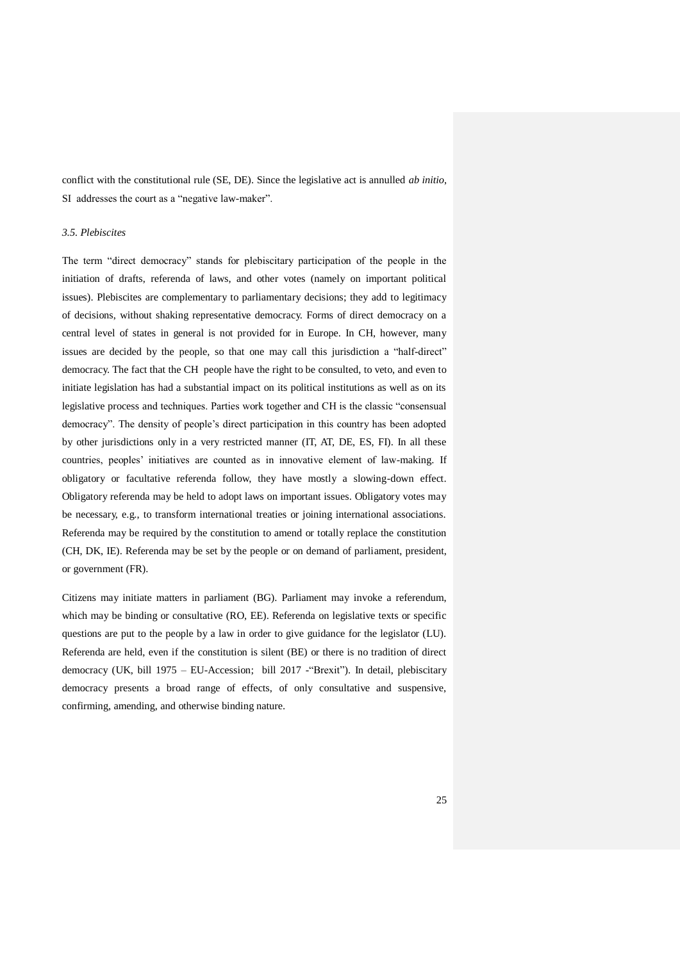conflict with the constitutional rule (SE, DE). Since the legislative act is annulled *ab initio*, SI addresses the court as a "negative law-maker".

## *3.5. Plebiscites*

The term "direct democracy" stands for plebiscitary participation of the people in the initiation of drafts, referenda of laws, and other votes (namely on important political issues). Plebiscites are complementary to parliamentary decisions; they add to legitimacy of decisions, without shaking representative democracy. Forms of direct democracy on a central level of states in general is not provided for in Europe. In CH, however, many issues are decided by the people, so that one may call this jurisdiction a "half-direct" democracy. The fact that the CH people have the right to be consulted, to veto, and even to initiate legislation has had a substantial impact on its political institutions as well as on its legislative process and techniques. Parties work together and CH is the classic "consensual democracy". The density of people's direct participation in this country has been adopted by other jurisdictions only in a very restricted manner (IT, AT, DE, ES, FI). In all these countries, peoples' initiatives are counted as in innovative element of law-making. If obligatory or facultative referenda follow, they have mostly a slowing-down effect. Obligatory referenda may be held to adopt laws on important issues. Obligatory votes may be necessary, e.g., to transform international treaties or joining international associations. Referenda may be required by the constitution to amend or totally replace the constitution (CH, DK, IE). Referenda may be set by the people or on demand of parliament, president, or government (FR).

Citizens may initiate matters in parliament (BG). Parliament may invoke a referendum, which may be binding or consultative (RO, EE). Referenda on legislative texts or specific questions are put to the people by a law in order to give guidance for the legislator (LU). Referenda are held, even if the constitution is silent (BE) or there is no tradition of direct democracy (UK, bill 1975 – EU-Accession; bill 2017 -"Brexit"). In detail, plebiscitary democracy presents a broad range of effects, of only consultative and suspensive, confirming, amending, and otherwise binding nature.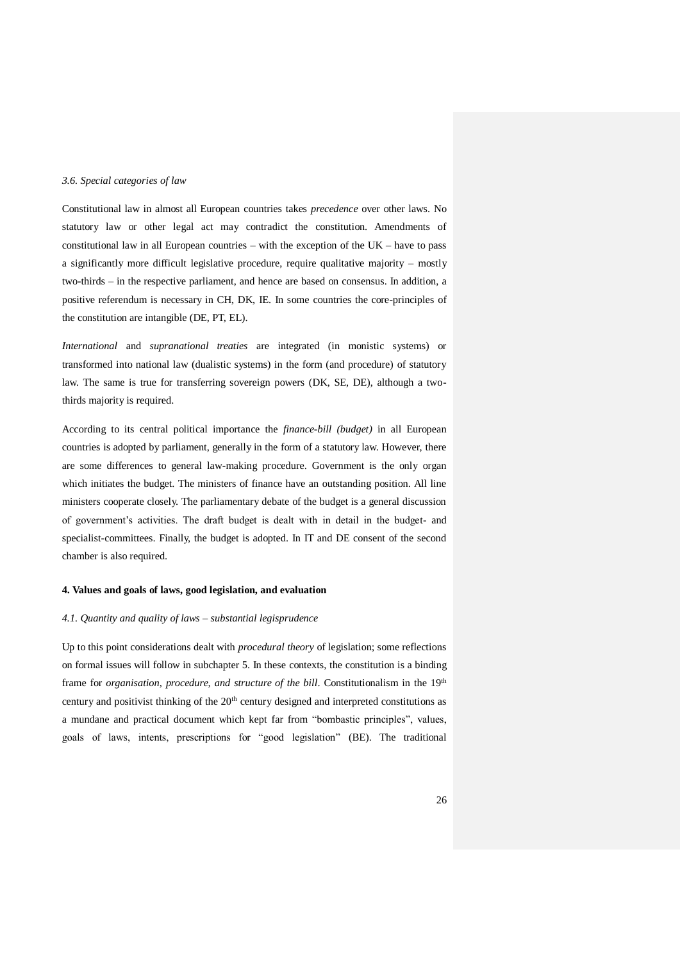## *3.6. Special categories of law*

Constitutional law in almost all European countries takes *precedence* over other laws. No statutory law or other legal act may contradict the constitution. Amendments of constitutional law in all European countries – with the exception of the  $UK -$  have to pass a significantly more difficult legislative procedure, require qualitative majority – mostly two-thirds – in the respective parliament, and hence are based on consensus. In addition, a positive referendum is necessary in CH, DK, IE. In some countries the core-principles of the constitution are intangible (DE, PT, EL).

*International* and *supranational treaties* are integrated (in monistic systems) or transformed into national law (dualistic systems) in the form (and procedure) of statutory law. The same is true for transferring sovereign powers (DK, SE, DE), although a twothirds majority is required.

According to its central political importance the *finance-bill (budget)* in all European countries is adopted by parliament, generally in the form of a statutory law. However, there are some differences to general law-making procedure. Government is the only organ which initiates the budget. The ministers of finance have an outstanding position. All line ministers cooperate closely. The parliamentary debate of the budget is a general discussion of government's activities. The draft budget is dealt with in detail in the budget- and specialist-committees. Finally, the budget is adopted. In IT and DE consent of the second chamber is also required.

### **4. Values and goals of laws, good legislation, and evaluation**

### *4.1. Quantity and quality of laws – substantial legisprudence*

Up to this point considerations dealt with *procedural theory* of legislation; some reflections on formal issues will follow in subchapter 5. In these contexts, the constitution is a binding frame for *organisation, procedure, and structure of the bill.* Constitutionalism in the 19<sup>th</sup> century and positivist thinking of the 20<sup>th</sup> century designed and interpreted constitutions as a mundane and practical document which kept far from "bombastic principles", values, goals of laws, intents, prescriptions for "good legislation" (BE). The traditional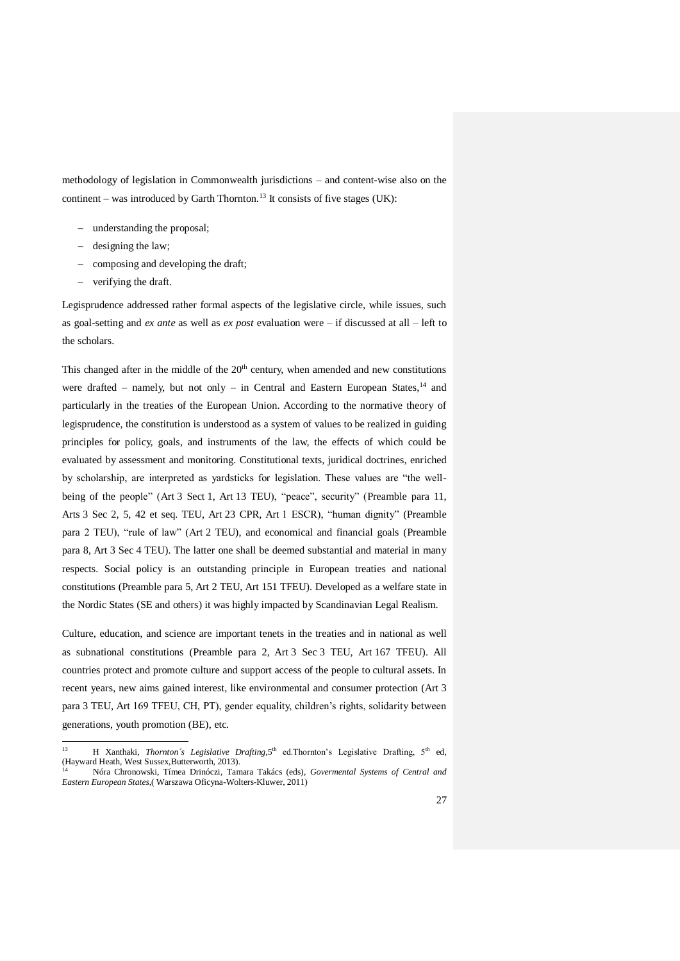methodology of legislation in Commonwealth jurisdictions – and content-wise also on the continent – was introduced by Garth Thornton.<sup>13</sup> It consists of five stages (UK):

- understanding the proposal;
- $-$  designing the law;
- composing and developing the draft;
- verifying the draft.

Legisprudence addressed rather formal aspects of the legislative circle, while issues, such as goal-setting and *ex ante* as well as *ex post* evaluation were – if discussed at all – left to the scholars.

This changed after in the middle of the  $20<sup>th</sup>$  century, when amended and new constitutions were drafted – namely, but not only – in Central and Eastern European States, $14$  and particularly in the treaties of the European Union. According to the normative theory of legisprudence, the constitution is understood as a system of values to be realized in guiding principles for policy, goals, and instruments of the law, the effects of which could be evaluated by assessment and monitoring. Constitutional texts, juridical doctrines, enriched by scholarship, are interpreted as yardsticks for legislation. These values are "the wellbeing of the people" (Art 3 Sect 1, Art 13 TEU), "peace", security" (Preamble para 11, Arts 3 Sec 2, 5, 42 et seq. TEU, Art 23 CPR, Art 1 ESCR), "human dignity" (Preamble para 2 TEU), "rule of law" (Art 2 TEU), and economical and financial goals (Preamble para 8, Art 3 Sec 4 TEU). The latter one shall be deemed substantial and material in many respects. Social policy is an outstanding principle in European treaties and national constitutions (Preamble para 5, Art 2 TEU, Art 151 TFEU). Developed as a welfare state in the Nordic States (SE and others) it was highly impacted by Scandinavian Legal Realism.

Culture, education, and science are important tenets in the treaties and in national as well as subnational constitutions (Preamble para 2, Art 3 Sec 3 TEU, Art 167 TFEU). All countries protect and promote culture and support access of the people to cultural assets. In recent years, new aims gained interest, like environmental and consumer protection (Art 3 para 3 TEU, Art 169 TFEU, CH, PT), gender equality, children's rights, solidarity between generations, youth promotion (BE), etc.

 $13$ <sup>13</sup> H Xanthaki, *Thornton's Legislative Drafting*, 5<sup>th</sup> ed.Thornton's Legislative Drafting, 5<sup>th</sup> ed, (Hayward Heath, West Sussex,Butterworth, 2013).

<sup>14</sup> Nóra Chronowski, Tímea Drinóczi, Tamara Takács (eds), *Govermental Systems of Central and Eastern European States,*( Warszawa Oficyna-Wolters-Kluwer, 2011)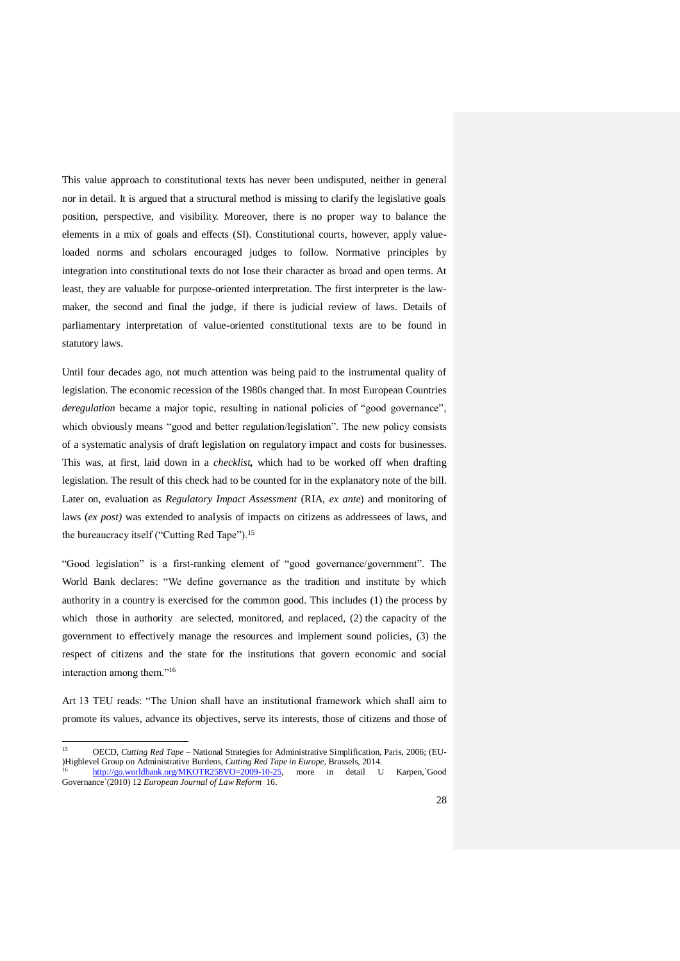This value approach to constitutional texts has never been undisputed, neither in general nor in detail. It is argued that a structural method is missing to clarify the legislative goals position, perspective, and visibility. Moreover, there is no proper way to balance the elements in a mix of goals and effects (SI). Constitutional courts, however, apply valueloaded norms and scholars encouraged judges to follow. Normative principles by integration into constitutional texts do not lose their character as broad and open terms. At least, they are valuable for purpose-oriented interpretation. The first interpreter is the lawmaker, the second and final the judge, if there is judicial review of laws. Details of parliamentary interpretation of value-oriented constitutional texts are to be found in statutory laws.

Until four decades ago, not much attention was being paid to the instrumental quality of legislation. The economic recession of the 1980s changed that. In most European Countries *deregulation* became a major topic, resulting in national policies of "good governance", which obviously means "good and better regulation/legislation". The new policy consists of a systematic analysis of draft legislation on regulatory impact and costs for businesses. This was, at first, laid down in a *checklist,* which had to be worked off when drafting legislation. The result of this check had to be counted for in the explanatory note of the bill. Later on, evaluation as *Regulatory Impact Assessment* (RIA, *ex ante*) and monitoring of laws (*ex post)* was extended to analysis of impacts on citizens as addressees of laws, and the bureaucracy itself ("Cutting Red Tape").<sup>15</sup>

"Good legislation" is a first-ranking element of "good governance/government". The World Bank declares: "We define governance as the tradition and institute by which authority in a country is exercised for the common good. This includes (1) the process by which those in authority are selected, monitored, and replaced, (2) the capacity of the government to effectively manage the resources and implement sound policies, (3) the respect of citizens and the state for the institutions that govern economic and social interaction among them."<sup>16</sup>

Art 13 TEU reads: "The Union shall have an institutional framework which shall aim to promote its values, advance its objectives, serve its interests, those of citizens and those of

 $15$ <sup>15</sup> OECD, *Cutting Red Tape* – National Strategies for Administrative Simplification, Paris, 2006; (EU- )Highlevel Group on Administrative Burdens, *Cutting Red Tape in Europe*, Brussels, 2014. [http://go.worldbank.org/MKOTR258VO=2009-10-25,](http://go.worldbank.org/MKOTR258VO=2009-10-25) more in detail U Karpen,`Good

Governance`(2010) 12 *European Journal of Law Reform* 16.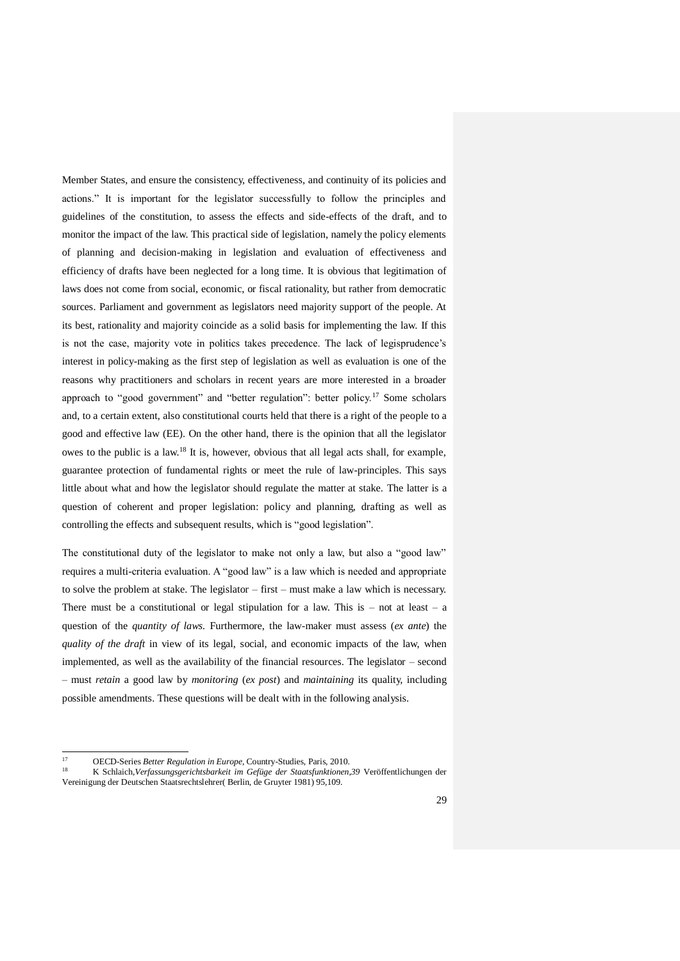Member States, and ensure the consistency, effectiveness, and continuity of its policies and actions." It is important for the legislator successfully to follow the principles and guidelines of the constitution, to assess the effects and side-effects of the draft, and to monitor the impact of the law. This practical side of legislation, namely the policy elements of planning and decision-making in legislation and evaluation of effectiveness and efficiency of drafts have been neglected for a long time. It is obvious that legitimation of laws does not come from social, economic, or fiscal rationality, but rather from democratic sources. Parliament and government as legislators need majority support of the people. At its best, rationality and majority coincide as a solid basis for implementing the law. If this is not the case, majority vote in politics takes precedence. The lack of legisprudence's interest in policy-making as the first step of legislation as well as evaluation is one of the reasons why practitioners and scholars in recent years are more interested in a broader approach to "good government" and "better regulation": better policy.<sup>17</sup> Some scholars and, to a certain extent, also constitutional courts held that there is a right of the people to a good and effective law (EE). On the other hand, there is the opinion that all the legislator owes to the public is a law.<sup>18</sup> It is, however, obvious that all legal acts shall, for example, guarantee protection of fundamental rights or meet the rule of law-principles. This says little about what and how the legislator should regulate the matter at stake. The latter is a question of coherent and proper legislation: policy and planning, drafting as well as controlling the effects and subsequent results, which is "good legislation".

The constitutional duty of the legislator to make not only a law, but also a "good law" requires a multi-criteria evaluation. A "good law" is a law which is needed and appropriate to solve the problem at stake. The legislator – first – must make a law which is necessary. There must be a constitutional or legal stipulation for a law. This is  $-$  not at least  $-$  a question of the *quantity of laws.* Furthermore, the law-maker must assess (*ex ante*) the *quality of the draft* in view of its legal, social, and economic impacts of the law, when implemented, as well as the availability of the financial resources. The legislator – second – must *retain* a good law by *monitoring* (*ex post*) and *maintaining* its quality, including possible amendments. These questions will be dealt with in the following analysis.

 $17$ 17 **OECD-Series** *Better Regulation in Europe*, Country-Studies, Paris, 2010.

<sup>18</sup> K Schlaich,*Verfassungsgerichtsbarkeit im Gefüge der Staatsfunktionen,39* Veröffentlichungen der Vereinigung der Deutschen Staatsrechtslehrer( Berlin, de Gruyter 1981) 95,109.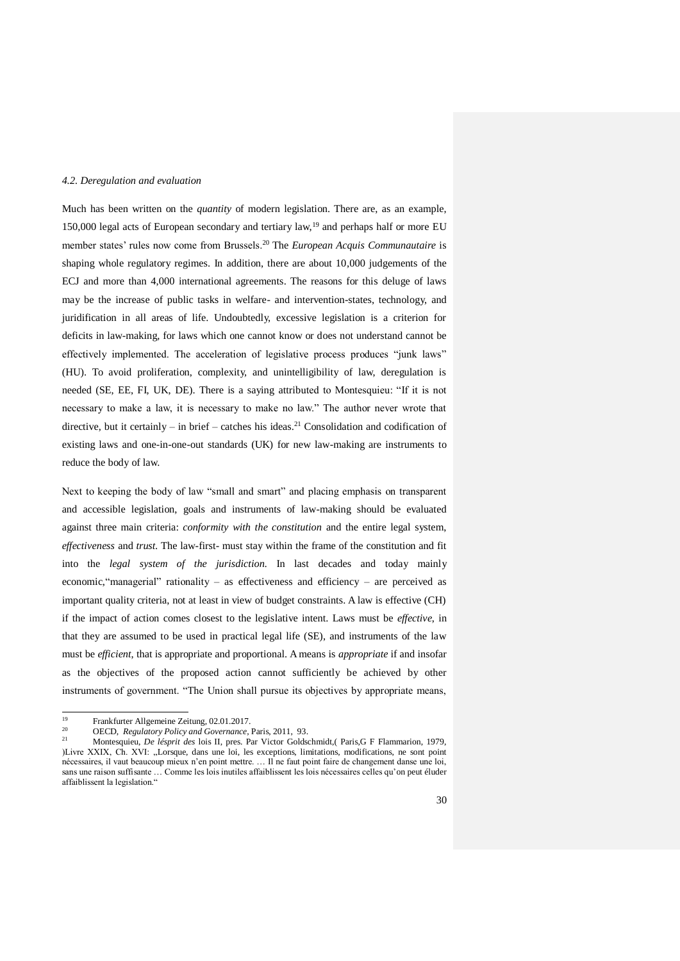## *4.2. Deregulation and evaluation*

Much has been written on the *quantity* of modern legislation. There are, as an example, 150,000 legal acts of European secondary and tertiary law,<sup>19</sup> and perhaps half or more EU member states' rules now come from Brussels.<sup>20</sup> The *European Acquis Communautaire* is shaping whole regulatory regimes. In addition, there are about 10,000 judgements of the ECJ and more than 4,000 international agreements. The reasons for this deluge of laws may be the increase of public tasks in welfare- and intervention-states, technology, and juridification in all areas of life. Undoubtedly, excessive legislation is a criterion for deficits in law-making, for laws which one cannot know or does not understand cannot be effectively implemented. The acceleration of legislative process produces "junk laws" (HU). To avoid proliferation, complexity, and unintelligibility of law, deregulation is needed (SE, EE, FI, UK, DE). There is a saying attributed to Montesquieu: "If it is not necessary to make a law, it is necessary to make no law." The author never wrote that directive, but it certainly – in brief – catches his ideas.<sup>21</sup> Consolidation and codification of existing laws and one-in-one-out standards (UK) for new law-making are instruments to reduce the body of law.

Next to keeping the body of law "small and smart" and placing emphasis on transparent and accessible legislation, goals and instruments of law-making should be evaluated against three main criteria: *conformity with the constitution* and the entire legal system, *effectiveness* and *trust.* The law-first- must stay within the frame of the constitution and fit into the *legal system of the jurisdiction.* In last decades and today mainly economic,"managerial" rationality – as effectiveness and efficiency – are perceived as important quality criteria, not at least in view of budget constraints. A law is effective (CH) if the impact of action comes closest to the legislative intent. Laws must be *effective*, in that they are assumed to be used in practical legal life (SE), and instruments of the law must be *efficient*, that is appropriate and proportional. A means is *appropriate* if and insofar as the objectives of the proposed action cannot sufficiently be achieved by other instruments of government. "The Union shall pursue its objectives by appropriate means,

<sup>19</sup> <sup>19</sup> Frankfurter Allgemeine Zeitung, 02.01.2017.

<sup>20</sup> OECD, *Regulatory Policy and Governance*, Paris, 2011, 93.

<sup>21</sup> Montesquieu, *De lésprit des* lois II, pres. Par Victor Goldschmidt,( Paris,G F Flammarion, 1979, )Livre XXIX, Ch. XVI: "Lorsque, dans une loi, les exceptions, limitations, modifications, ne sont point nécessaires, il vaut beaucoup mieux n'en point mettre. … Il ne faut point faire de changement danse une loi, sans une raison suffisante … Comme les lois inutiles affaiblissent les lois nécessaires celles qu'on peut éluder affaiblissent la legislation."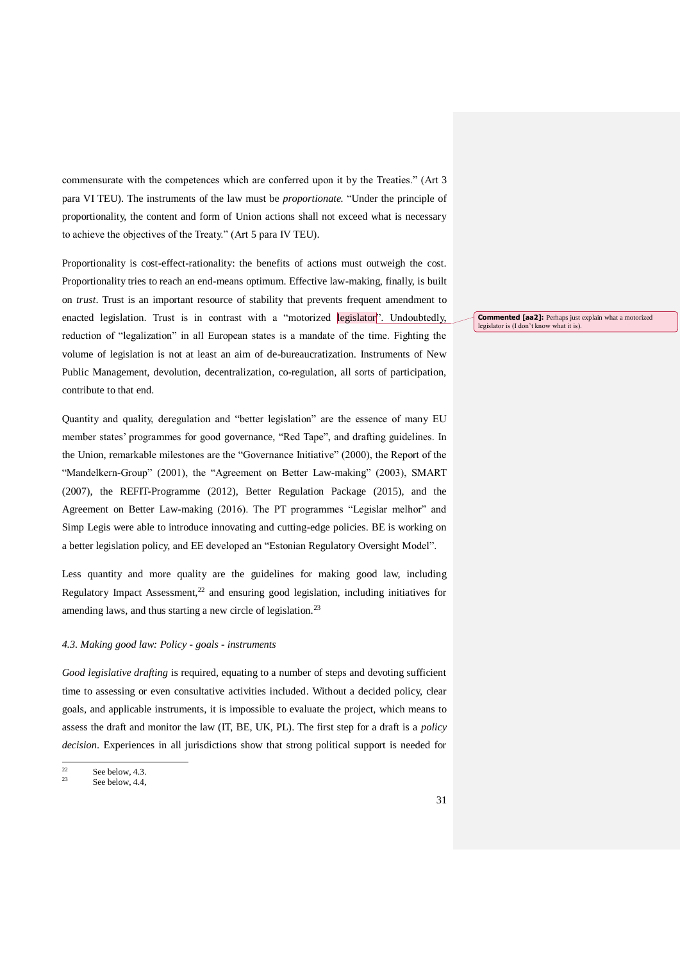commensurate with the competences which are conferred upon it by the Treaties." (Art 3 para VI TEU). The instruments of the law must be *proportionate.* "Under the principle of proportionality, the content and form of Union actions shall not exceed what is necessary to achieve the objectives of the Treaty." (Art 5 para IV TEU).

Proportionality is cost-effect-rationality: the benefits of actions must outweigh the cost. Proportionality tries to reach an end-means optimum. Effective law-making, finally, is built on *trust*. Trust is an important resource of stability that prevents frequent amendment to enacted legislation. Trust is in contrast with a "motorized legislator". Undoubtedly, reduction of "legalization" in all European states is a mandate of the time. Fighting the volume of legislation is not at least an aim of de-bureaucratization. Instruments of New Public Management, devolution, decentralization, co-regulation, all sorts of participation, contribute to that end.

Quantity and quality, deregulation and "better legislation" are the essence of many EU member states' programmes for good governance, "Red Tape", and drafting guidelines. In the Union, remarkable milestones are the "Governance Initiative" (2000), the Report of the "Mandelkern-Group" (2001), the "Agreement on Better Law-making" (2003), SMART (2007), the REFIT-Programme (2012), Better Regulation Package (2015), and the Agreement on Better Law-making (2016). The PT programmes "Legislar melhor" and Simp Legis were able to introduce innovating and cutting-edge policies. BE is working on a better legislation policy, and EE developed an "Estonian Regulatory Oversight Model".

Less quantity and more quality are the guidelines for making good law, including Regulatory Impact Assessment, $2<sup>2</sup>$  and ensuring good legislation, including initiatives for amending laws, and thus starting a new circle of legislation.<sup>23</sup>

## *4.3. Making good law: Policy - goals - instruments*

*Good legislative drafting* is required, equating to a number of steps and devoting sufficient time to assessing or even consultative activities included. Without a decided policy, clear goals, and applicable instruments, it is impossible to evaluate the project, which means to assess the draft and monitor the law (IT, BE, UK, PL). The first step for a draft is a *policy decision*. Experiences in all jurisdictions show that strong political support is needed for

**Commented [aa2]:** Perhaps just explain what a motorized legislator is (I don't know what it is).

 $\overline{22}$ <sup>22</sup> See below, 4.3.

See below, 4.4,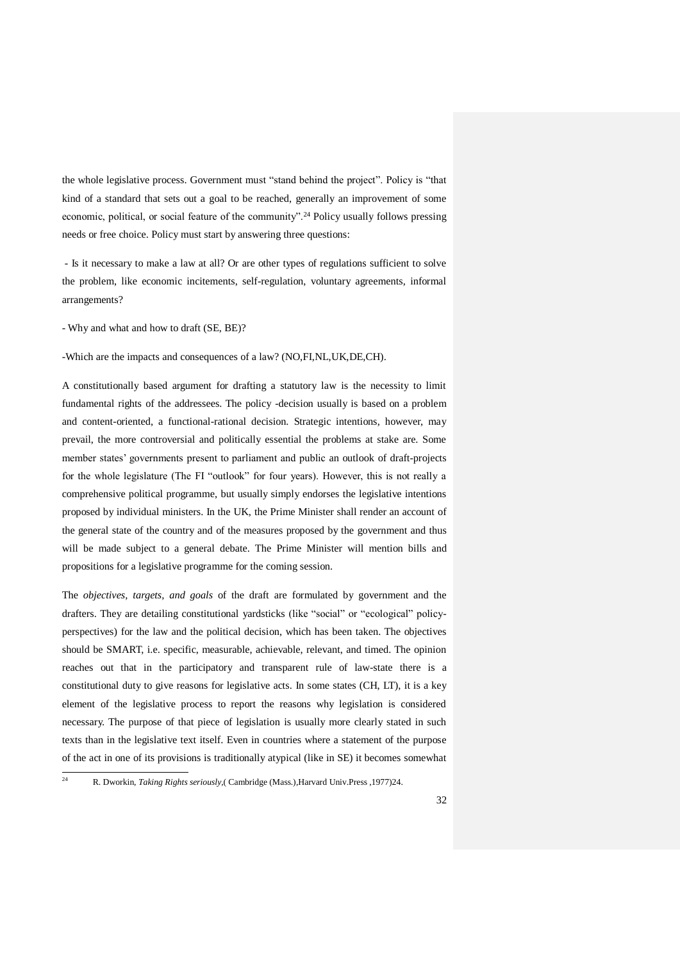the whole legislative process. Government must "stand behind the project". Policy is "that kind of a standard that sets out a goal to be reached, generally an improvement of some economic, political, or social feature of the community".<sup>24</sup> Policy usually follows pressing needs or free choice. Policy must start by answering three questions:

- Is it necessary to make a law at all? Or are other types of regulations sufficient to solve the problem, like economic incitements, self-regulation, voluntary agreements, informal arrangements?

- Why and what and how to draft (SE, BE)?

-Which are the impacts and consequences of a law? (NO,FI,NL,UK,DE,CH).

A constitutionally based argument for drafting a statutory law is the necessity to limit fundamental rights of the addressees. The policy -decision usually is based on a problem and content-oriented, a functional-rational decision. Strategic intentions, however, may prevail, the more controversial and politically essential the problems at stake are. Some member states' governments present to parliament and public an outlook of draft-projects for the whole legislature (The FI "outlook" for four years). However, this is not really a comprehensive political programme, but usually simply endorses the legislative intentions proposed by individual ministers. In the UK, the Prime Minister shall render an account of the general state of the country and of the measures proposed by the government and thus will be made subject to a general debate. The Prime Minister will mention bills and propositions for a legislative programme for the coming session.

The *objectives, targets, and goals* of the draft are formulated by government and the drafters. They are detailing constitutional yardsticks (like "social" or "ecological" policyperspectives) for the law and the political decision, which has been taken. The objectives should be SMART, i.e. specific, measurable, achievable, relevant, and timed. The opinion reaches out that in the participatory and transparent rule of law-state there is a constitutional duty to give reasons for legislative acts. In some states (CH, LT), it is a key element of the legislative process to report the reasons why legislation is considered necessary. The purpose of that piece of legislation is usually more clearly stated in such texts than in the legislative text itself. Even in countries where a statement of the purpose of the act in one of its provisions is traditionally atypical (like in SE) it becomes somewhat

 $^{24}$ <sup>24</sup> R. Dworkin, *Taking Rights seriously*,( Cambridge (Mass.),Harvard Univ.Press ,1977)24.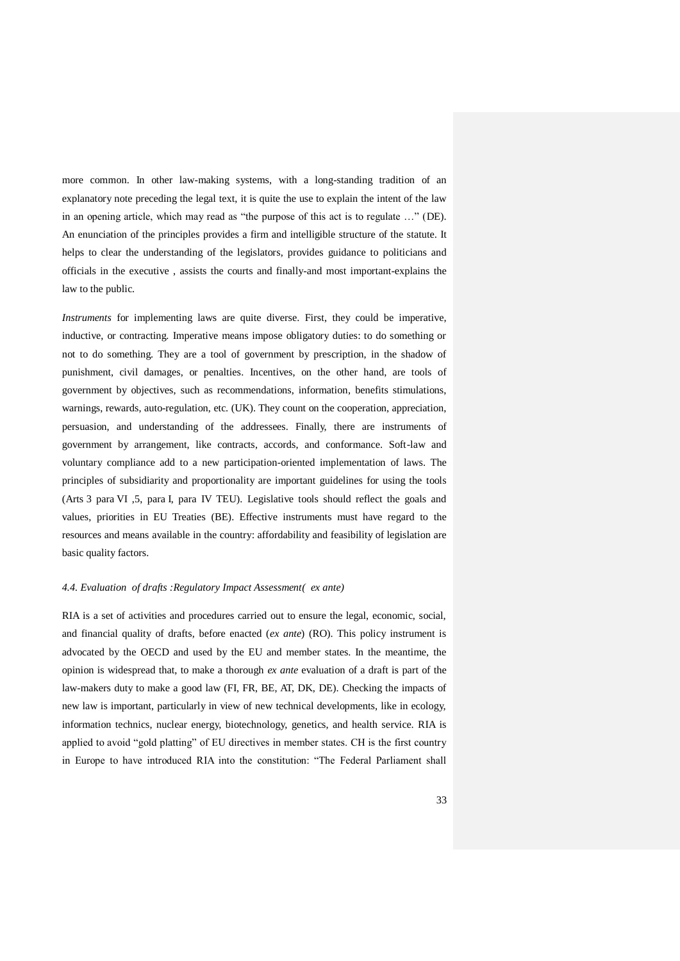more common. In other law-making systems, with a long-standing tradition of an explanatory note preceding the legal text, it is quite the use to explain the intent of the law in an opening article, which may read as "the purpose of this act is to regulate …" (DE). An enunciation of the principles provides a firm and intelligible structure of the statute. It helps to clear the understanding of the legislators, provides guidance to politicians and officials in the executive , assists the courts and finally-and most important-explains the law to the public.

*Instruments* for implementing laws are quite diverse. First, they could be imperative, inductive, or contracting. Imperative means impose obligatory duties: to do something or not to do something. They are a tool of government by prescription, in the shadow of punishment, civil damages, or penalties. Incentives, on the other hand, are tools of government by objectives, such as recommendations, information, benefits stimulations, warnings, rewards, auto-regulation, etc. (UK). They count on the cooperation, appreciation, persuasion, and understanding of the addressees. Finally, there are instruments of government by arrangement, like contracts, accords, and conformance. Soft-law and voluntary compliance add to a new participation-oriented implementation of laws. The principles of subsidiarity and proportionality are important guidelines for using the tools (Arts 3 para VI ,5, para I, para IV TEU). Legislative tools should reflect the goals and values, priorities in EU Treaties (BE). Effective instruments must have regard to the resources and means available in the country: affordability and feasibility of legislation are basic quality factors.

### *4.4. Evaluation of drafts :Regulatory Impact Assessment( ex ante)*

RIA is a set of activities and procedures carried out to ensure the legal, economic, social, and financial quality of drafts, before enacted (*ex ante*) (RO). This policy instrument is advocated by the OECD and used by the EU and member states. In the meantime, the opinion is widespread that, to make a thorough *ex ante* evaluation of a draft is part of the law-makers duty to make a good law (FI, FR, BE, AT, DK, DE). Checking the impacts of new law is important, particularly in view of new technical developments, like in ecology, information technics, nuclear energy, biotechnology, genetics, and health service. RIA is applied to avoid "gold platting" of EU directives in member states. CH is the first country in Europe to have introduced RIA into the constitution: "The Federal Parliament shall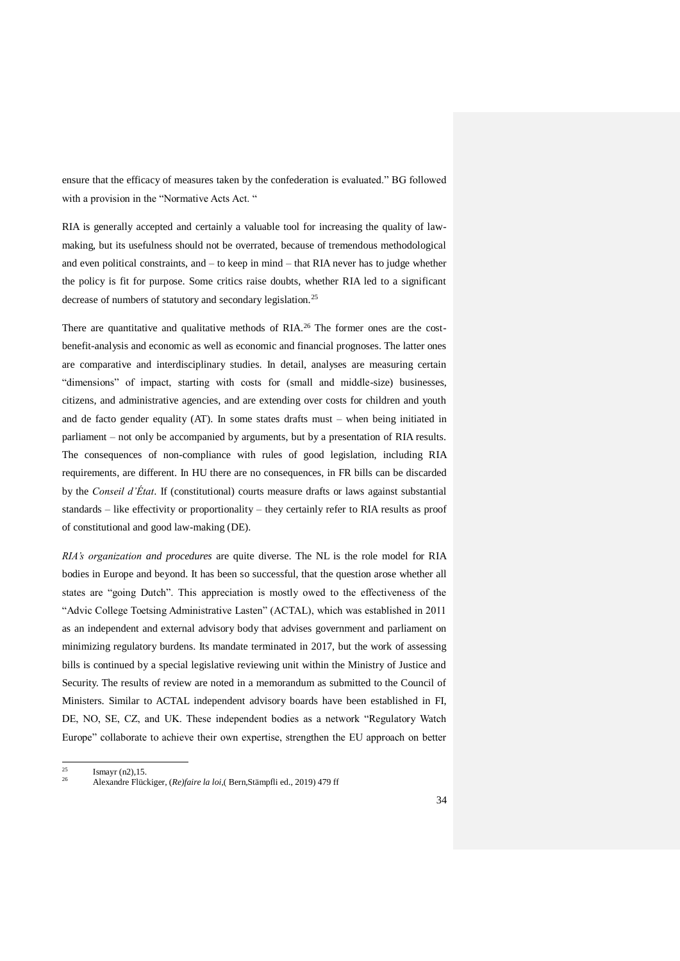ensure that the efficacy of measures taken by the confederation is evaluated." BG followed with a provision in the "Normative Acts Act. "

RIA is generally accepted and certainly a valuable tool for increasing the quality of lawmaking, but its usefulness should not be overrated, because of tremendous methodological and even political constraints, and – to keep in mind – that RIA never has to judge whether the policy is fit for purpose. Some critics raise doubts, whether RIA led to a significant decrease of numbers of statutory and secondary legislation.<sup>25</sup>

There are quantitative and qualitative methods of RIA.<sup>26</sup> The former ones are the costbenefit-analysis and economic as well as economic and financial prognoses. The latter ones are comparative and interdisciplinary studies. In detail, analyses are measuring certain "dimensions" of impact, starting with costs for (small and middle-size) businesses, citizens, and administrative agencies, and are extending over costs for children and youth and de facto gender equality (AT). In some states drafts must – when being initiated in parliament – not only be accompanied by arguments, but by a presentation of RIA results. The consequences of non-compliance with rules of good legislation, including RIA requirements, are different. In HU there are no consequences, in FR bills can be discarded by the *Conseil d'État*. If (constitutional) courts measure drafts or laws against substantial standards – like effectivity or proportionality – they certainly refer to RIA results as proof of constitutional and good law-making (DE).

*RIA's organization and procedures* are quite diverse. The NL is the role model for RIA bodies in Europe and beyond. It has been so successful, that the question arose whether all states are "going Dutch". This appreciation is mostly owed to the effectiveness of the "Advic College Toetsing Administrative Lasten" (ACTAL), which was established in 2011 as an independent and external advisory body that advises government and parliament on minimizing regulatory burdens. Its mandate terminated in 2017, but the work of assessing bills is continued by a special legislative reviewing unit within the Ministry of Justice and Security. The results of review are noted in a memorandum as submitted to the Council of Ministers. Similar to ACTAL independent advisory boards have been established in FI, DE, NO, SE, CZ, and UK. These independent bodies as a network "Regulatory Watch Europe" collaborate to achieve their own expertise, strengthen the EU approach on better

 $\overline{25}$ 

 $\frac{25}{26}$  Ismayr (n2), 15. <sup>26</sup> Alexandre Flückiger, (*Re)faire la loi*,( Bern,Stämpfli ed., 2019) 479 ff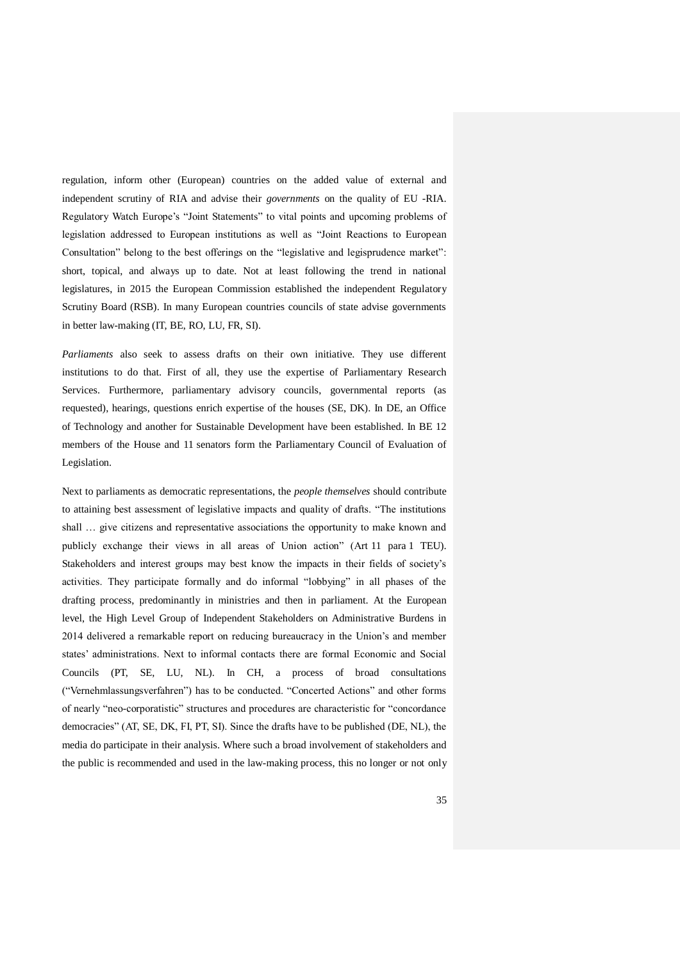regulation, inform other (European) countries on the added value of external and independent scrutiny of RIA and advise their *governments* on the quality of EU -RIA. Regulatory Watch Europe's "Joint Statements" to vital points and upcoming problems of legislation addressed to European institutions as well as "Joint Reactions to European Consultation" belong to the best offerings on the "legislative and legisprudence market": short, topical, and always up to date. Not at least following the trend in national legislatures, in 2015 the European Commission established the independent Regulatory Scrutiny Board (RSB). In many European countries councils of state advise governments in better law-making (IT, BE, RO, LU, FR, SI).

*Parliaments* also seek to assess drafts on their own initiative. They use different institutions to do that. First of all, they use the expertise of Parliamentary Research Services. Furthermore, parliamentary advisory councils, governmental reports (as requested), hearings, questions enrich expertise of the houses (SE, DK). In DE, an Office of Technology and another for Sustainable Development have been established. In BE 12 members of the House and 11 senators form the Parliamentary Council of Evaluation of Legislation.

Next to parliaments as democratic representations, the *people themselves* should contribute to attaining best assessment of legislative impacts and quality of drafts. "The institutions shall … give citizens and representative associations the opportunity to make known and publicly exchange their views in all areas of Union action" (Art 11 para 1 TEU). Stakeholders and interest groups may best know the impacts in their fields of society's activities. They participate formally and do informal "lobbying" in all phases of the drafting process, predominantly in ministries and then in parliament. At the European level, the High Level Group of Independent Stakeholders on Administrative Burdens in 2014 delivered a remarkable report on reducing bureaucracy in the Union's and member states' administrations. Next to informal contacts there are formal Economic and Social Councils (PT, SE, LU, NL). In CH, a process of broad consultations ("Vernehmlassungsverfahren") has to be conducted. "Concerted Actions" and other forms of nearly "neo-corporatistic" structures and procedures are characteristic for "concordance democracies" (AT, SE, DK, FI, PT, SI). Since the drafts have to be published (DE, NL), the media do participate in their analysis. Where such a broad involvement of stakeholders and the public is recommended and used in the law-making process, this no longer or not only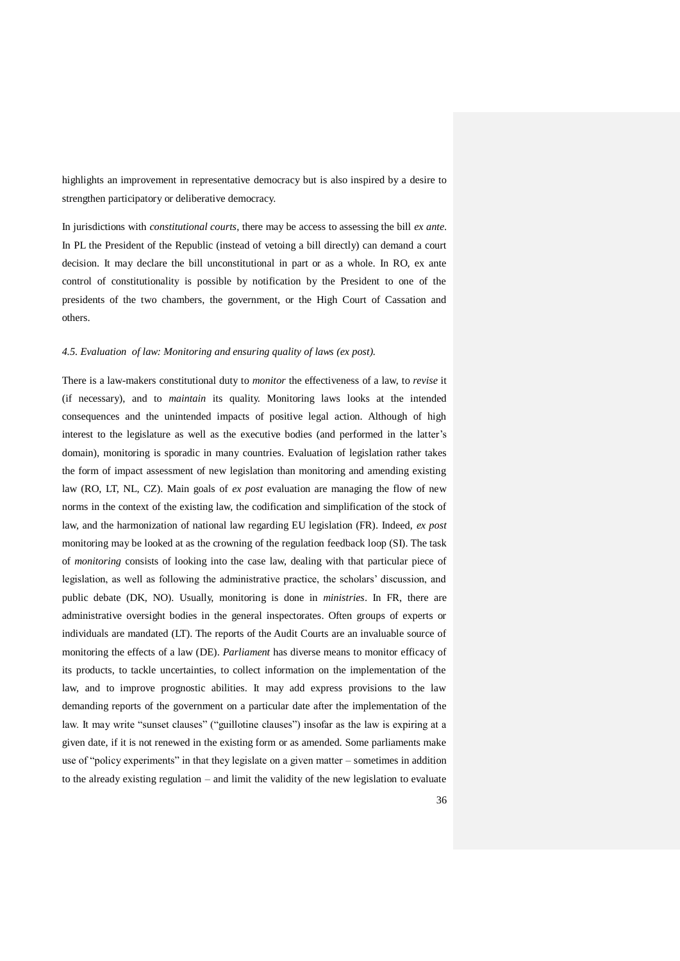highlights an improvement in representative democracy but is also inspired by a desire to strengthen participatory or deliberative democracy.

In jurisdictions with *constitutional courts*, there may be access to assessing the bill *ex ante*. In PL the President of the Republic (instead of vetoing a bill directly) can demand a court decision. It may declare the bill unconstitutional in part or as a whole. In RO, ex ante control of constitutionality is possible by notification by the President to one of the presidents of the two chambers, the government, or the High Court of Cassation and others.

### *4.5. Evaluation of law: Monitoring and ensuring quality of laws (ex post).*

There is a law-makers constitutional duty to *monitor* the effectiveness of a law, to *revise* it (if necessary), and to *maintain* its quality. Monitoring laws looks at the intended consequences and the unintended impacts of positive legal action. Although of high interest to the legislature as well as the executive bodies (and performed in the latter's domain), monitoring is sporadic in many countries. Evaluation of legislation rather takes the form of impact assessment of new legislation than monitoring and amending existing law (RO, LT, NL, CZ). Main goals of *ex post* evaluation are managing the flow of new norms in the context of the existing law, the codification and simplification of the stock of law, and the harmonization of national law regarding EU legislation (FR). Indeed, *ex post* monitoring may be looked at as the crowning of the regulation feedback loop (SI). The task of *monitoring* consists of looking into the case law, dealing with that particular piece of legislation, as well as following the administrative practice, the scholars' discussion, and public debate (DK, NO). Usually, monitoring is done in *ministries*. In FR, there are administrative oversight bodies in the general inspectorates. Often groups of experts or individuals are mandated (LT). The reports of the Audit Courts are an invaluable source of monitoring the effects of a law (DE). *Parliament* has diverse means to monitor efficacy of its products, to tackle uncertainties, to collect information on the implementation of the law, and to improve prognostic abilities. It may add express provisions to the law demanding reports of the government on a particular date after the implementation of the law. It may write "sunset clauses" ("guillotine clauses") insofar as the law is expiring at a given date, if it is not renewed in the existing form or as amended. Some parliaments make use of "policy experiments" in that they legislate on a given matter – sometimes in addition to the already existing regulation – and limit the validity of the new legislation to evaluate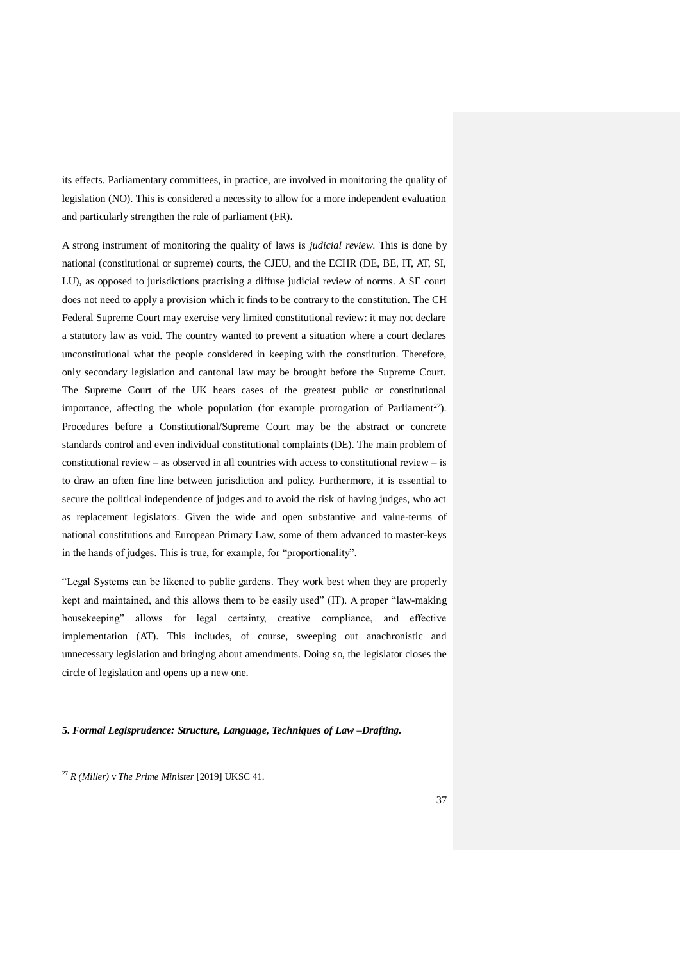its effects. Parliamentary committees, in practice, are involved in monitoring the quality of legislation (NO). This is considered a necessity to allow for a more independent evaluation and particularly strengthen the role of parliament (FR).

A strong instrument of monitoring the quality of laws is *judicial review*. This is done by national (constitutional or supreme) courts, the CJEU, and the ECHR (DE, BE, IT, AT, SI, LU), as opposed to jurisdictions practising a diffuse judicial review of norms. A SE court does not need to apply a provision which it finds to be contrary to the constitution. The CH Federal Supreme Court may exercise very limited constitutional review: it may not declare a statutory law as void. The country wanted to prevent a situation where a court declares unconstitutional what the people considered in keeping with the constitution. Therefore, only secondary legislation and cantonal law may be brought before the Supreme Court. The Supreme Court of the UK hears cases of the greatest public or constitutional importance, affecting the whole population (for example prorogation of Parliament<sup>27</sup>). Procedures before a Constitutional/Supreme Court may be the abstract or concrete standards control and even individual constitutional complaints (DE). The main problem of constitutional review – as observed in all countries with access to constitutional review – is to draw an often fine line between jurisdiction and policy. Furthermore, it is essential to secure the political independence of judges and to avoid the risk of having judges, who act as replacement legislators. Given the wide and open substantive and value-terms of national constitutions and European Primary Law, some of them advanced to master-keys in the hands of judges. This is true, for example, for "proportionality".

"Legal Systems can be likened to public gardens. They work best when they are properly kept and maintained, and this allows them to be easily used" (IT). A proper "law-making housekeeping" allows for legal certainty, creative compliance, and effective implementation (AT). This includes, of course, sweeping out anachronistic and unnecessary legislation and bringing about amendments. Doing so, the legislator closes the circle of legislation and opens up a new one.

## **5.** *Formal Legisprudence: Structure, Language, Techniques of Law –Drafting.*

<u>.</u>

<sup>27</sup> *R (Miller)* v *The Prime Minister* [2019] UKSC 41.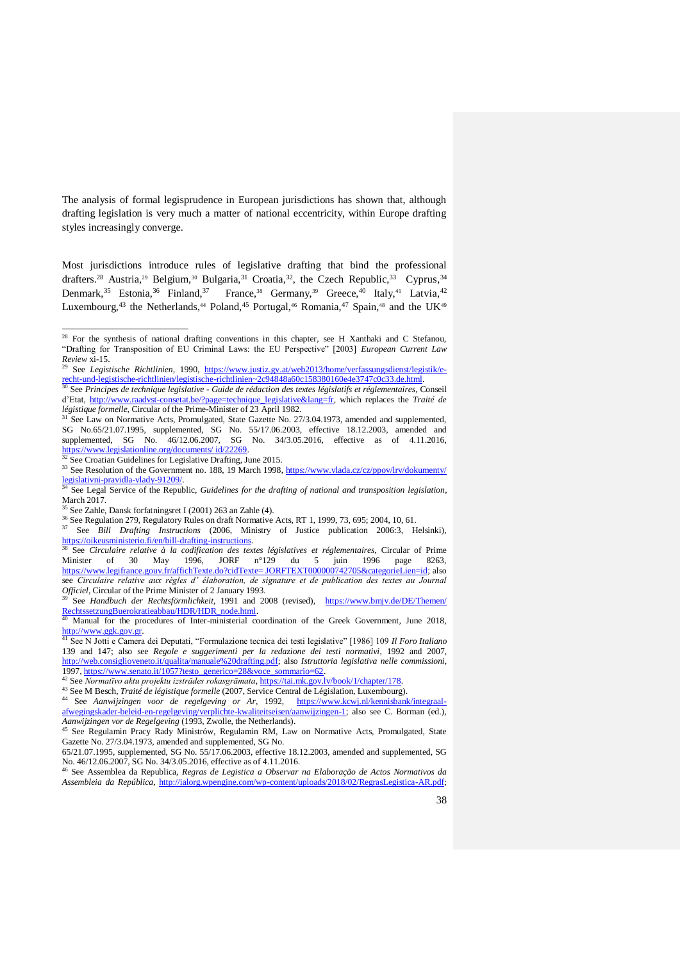The analysis of formal legisprudence in European jurisdictions has shown that, although drafting legislation is very much a matter of national eccentricity, within Europe drafting styles increasingly converge.

Most jurisdictions introduce rules of legislative drafting that bind the professional drafters.<sup>28</sup> Austria,<sup>29</sup> Belgium,<sup>30</sup> Bulgaria,<sup>31</sup> Croatia,<sup>32</sup>, the Czech Republic,<sup>33</sup> Cyprus,<sup>34</sup> Denmark,  $35$  Estonia,  $36$  Finland,  $37$  France,  $38$  Germany,  $39$  Greece,  $40$  Italy,  $41$  Latvia,  $42$ Luxembourg,<sup>43</sup> the Netherlands,<sup>44</sup> Poland,<sup>45</sup> Portugal,<sup>46</sup> Romania,<sup>47</sup> Spain,<sup>48</sup> and the UK<sup>49</sup>

<u>.</u>

 $^{28}$  For the synthesis of national drafting conventions in this chapter, see H Xanthaki and C Stefanou, "Drafting for Transposition of EU Criminal Laws: the EU Perspective" [2003] *European Current Law Review* xi-15.

<sup>&</sup>lt;sup>29</sup> See *Legistische Richtlinien*, 1990, [https://www.justiz.gv.at/web2013/home/verfassungsdienst/legistik/e](https://www.justiz.gv.at/web2013/home/verfassungsdienst/legistik/e-recht-und-legistische-richtlinien/legistische-richtlinien~2c94848a60c158380160e4e3747c0c33.de.html)[recht-und-legistische-richtlinien/legistische-richtlinien~2c94848a60c158380160e4e3747c0c33.de.html.](https://www.justiz.gv.at/web2013/home/verfassungsdienst/legistik/e-recht-und-legistische-richtlinien/legistische-richtlinien~2c94848a60c158380160e4e3747c0c33.de.html)

<sup>30</sup> See *Principes de technique legislative - Guide de rédaction des textes législatifs et réglementaires,* Conseil d'Etat, [http://www.raadvst-consetat.be/?page=technique\\_legislative&lang=fr,](http://www.raadvst-consetat.be/?page=technique_legislative&lang=fr) which replaces the *Traité de légistique formelle*, Circular of the Prime-Minister of 23 April 1982.

<sup>&</sup>lt;sup>31</sup> See Law on Normative Acts, Promulgated, State Gazette No. 27/3.04.1973, amended and supplemented, SG No.65/21.07.1995, supplemented, SG No. 55/17.06.2003, effective 18.12.2003, amended and supplemented, SG No. 46/12.06.2007, SG No. 34/3.05.2016, effective as of 4.11.2016, [https://www.legislationline.org/documents/ id/22269.](https://www.legislationline.org/documents/%20id/22269)

<sup>&</sup>lt;sup>32</sup> See Croatian Guidelines for Legislative Drafting, June 2015.

<sup>33</sup> See Resolution of the Government no. 188, 19 March 1998, https://www.vlada.cz/cz/ppov/lrv/dokumenty/<br>legislativni-pravidla-vlady-91209/. [legislativni-pravidla-vlady-91209/.](https://www.vlada.cz/cz/ppov/lrv/dokumenty/%20legislativni-pravidla-vlady-91209/) <sup>34</sup> See Legal Service of the Republic, *Guidelines for the drafting of national and transposition legislation*,

March 2017.

 $5$  See Zahle, Dansk forfatningsret I (2001) 263 an Zahle (4).

<sup>&</sup>lt;sup>36</sup> See Regulation 279, Regulatory Rules on draft Normative Acts, RT 1, 1999, 73, 695; 2004, 10, 61.

<sup>&</sup>lt;sup>37</sup> See *Bill Drafting Instructions* (2006, Ministry of Justice publication 2006:3, Helsinki), [https://oikeusministerio.fi/en/bill-drafting-instructions.](https://oikeusministerio.fi/en/bill-drafting-instructions)  <sup>38</sup> See *Circulaire relative à la codification des textes législatives et réglementaires*, Circular of Prime

Minister of 30 May 1996, JORF n°129 du 5 juin 1996 page 8263, [https://www.legifrance.gouv.fr/affichTexte.do?cidTexte= JORFTEXT000000742705&categorieLien=id;](https://www.legifrance.gouv.fr/affichTexte.do?cidTexte=%20JORFTEXT000000742705&categorieLien=id) also see *Circulaire relative aux règles d'élaboration, de signature et de publication des textes au Journal Officiel*, Circular of the Prime Minister of 2 January 1993.

<sup>39</sup> See *Handbuch der Rechtsförmlichkeit*, 1991 and 2008 (revised), [https://www.bmjv.de/DE/Themen/](https://www.bmjv.de/DE/Themen/%20RechtssetzungBuerokratieabbau/HDR/HDR_node.html)  RechtssetzungBuerokratieabbau/HDR/HDR\_node.html<br><sup>40</sup> Manual for the procedures of Inter-ministerial c

Manual for the procedures of Inter-ministerial coordination of the Greek Government, June 2018, [http://www.ggk.gov.gr.](http://www.ggk.gov.gr/)

<sup>41</sup> See N Jotti e Camera dei Deputati, "Formulazione tecnica dei testi legislative" [1986] 109 *Il Foro Italiano* 139 and 147; also see *Regole e suggerimenti per la redazione dei testi normativi*, 1992 and 2007, [http://web.consiglioveneto.it/qualita/manuale%20drafting.pdf;](http://web.consiglioveneto.it/qualita/manuale%20drafting.pdf) also *Istruttoria legislativa nelle commissioni*, 1997, [https://www.senato.it/1057?testo\\_generico=28&voce\\_sommario=62.](https://www.senato.it/1057?testo_generico=28&voce_sommario=62)

<sup>42</sup> See *Normatīvo aktu projektu izstrādes rokasgrāmata*,<https://tai.mk.gov.lv/book/1/chapter/178>*.* 

<sup>43</sup> See M Besch, *Traité de légistique formelle* (2007, Service Central de Législation, Luxembourg).

<sup>44</sup> See *Aanwijzingen voor de regelgeving or Ar*, 1992, [https://www.kcwj.nl/kennisbank/integraal](https://www.kcwj.nl/kennisbank/integraal-afwegingskader-beleid-en-regelgeving/verplichte-kwaliteitseisen/aanwijzingen-1)[afwegingskader-beleid-en-regelgeving/verplichte-kwaliteitseisen/aanwijzingen-1;](https://www.kcwj.nl/kennisbank/integraal-afwegingskader-beleid-en-regelgeving/verplichte-kwaliteitseisen/aanwijzingen-1) also see C. Borman (ed.), *Aanwijzingen vor de Regelgeving* (1993, Zwolle, the Netherlands).

<sup>45</sup> See Regulamin Pracy Rady Ministrów, Regulamin RM, Law on Normative Acts, Promulgated, State Gazette No. 27/3.04.1973, amended and supplemented, SG No.

<sup>65/21.07.1995,</sup> supplemented, SG No. 55/17.06.2003, effective 18.12.2003, amended and supplemented, SG No. 46/12.06.2007, SG No. 34/3.05.2016, effective as of 4.11.2016.

<sup>46</sup> See Assemblea da Republica, *Regras de Legistica a Observar na Elaboração de Actos Normativos da Assembleia da República*, [http://ialorg.wpengine.com/wp-content/uploads/2018/02/RegrasLegistica-AR.pdf;](http://ialorg.wpengine.com/wp-content/uploads/2018/02/RegrasLegistica-AR.pdf)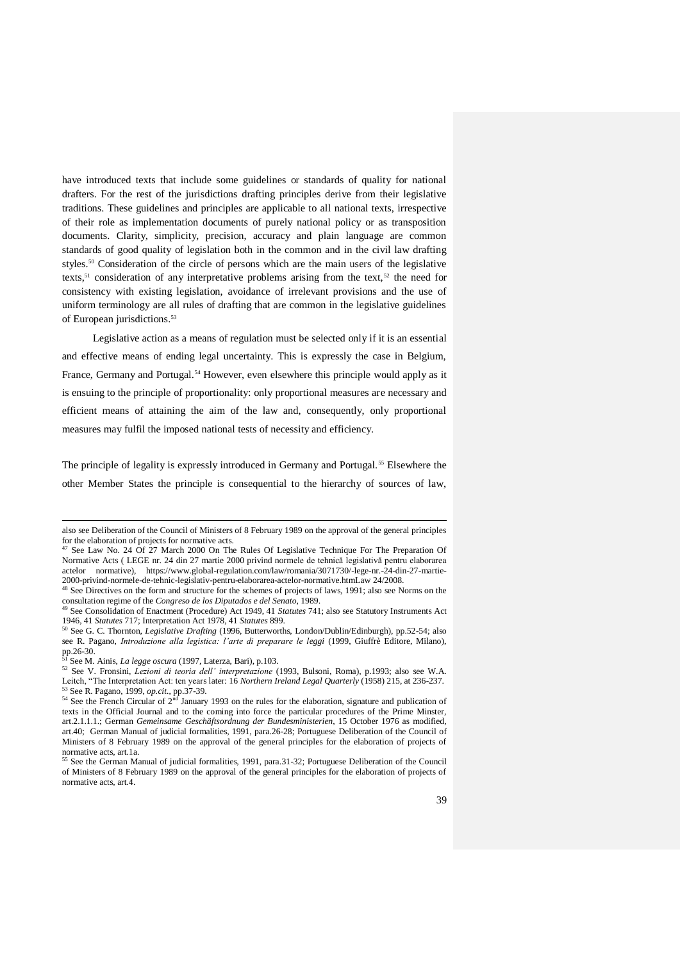have introduced texts that include some guidelines or standards of quality for national drafters. For the rest of the jurisdictions drafting principles derive from their legislative traditions. These guidelines and principles are applicable to all national texts, irrespective of their role as implementation documents of purely national policy or as transposition documents. Clarity, simplicity, precision, accuracy and plain language are common standards of good quality of legislation both in the common and in the civil law drafting styles.<sup>50</sup> Consideration of the circle of persons which are the main users of the legislative texts,<sup>51</sup> consideration of any interpretative problems arising from the text,<sup>52</sup> the need for consistency with existing legislation, avoidance of irrelevant provisions and the use of uniform terminology are all rules of drafting that are common in the legislative guidelines of European jurisdictions. 53

Legislative action as a means of regulation must be selected only if it is an essential and effective means of ending legal uncertainty. This is expressly the case in Belgium, France, Germany and Portugal.<sup>54</sup> However, even elsewhere this principle would apply as it is ensuing to the principle of proportionality: only proportional measures are necessary and efficient means of attaining the aim of the law and, consequently, only proportional measures may fulfil the imposed national tests of necessity and efficiency.

The principle of legality is expressly introduced in Germany and Portugal.<sup>55</sup> Elsewhere the other Member States the principle is consequential to the hierarchy of sources of law,

1

also see Deliberation of the Council of Ministers of 8 February 1989 on the approval of the general principles for the elaboration of projects for normative acts.

<sup>&</sup>lt;sup>47</sup> See Law No. 24 Of 27 March 2000 On The Rules Of Legislative Technique For The Preparation Of Normative Acts ( LEGE nr. 24 din 27 martie 2000 privind normele de tehnică legislativă pentru elaborarea actelor normative), https://www.global-regulation.com/law/romania/3071730/-lege-nr.-24-din-27-martie-2000-privind-normele-de-tehnic-legislativ-pentru-elaborarea-actelor-normative.htmLaw 24/2008.

<sup>&</sup>lt;sup>48</sup> See Directives on the form and structure for the schemes of projects of laws, 1991; also see Norms on the consultation regime of the *Congreso de los Diputados e del Senato*, 1989. <sup>49</sup> See Consolidation of Enactment (Procedure) Act 1949, 41 *Statutes* 741; also see Statutory Instruments Act

<sup>1946, 41</sup> *Statutes* 717; Interpretation Act 1978, 41 *Statutes* 899.

<sup>50</sup> See G. C. Thornton, *Legislative Drafting* (1996, Butterworths, London/Dublin/Edinburgh), pp.52-54; also see R. Pagano, *Introduzione alla legistica: l'arte di preparare le leggi* (1999, Giuffrè Editore, Milano), pp.26-30.

<sup>51</sup> See M. Ainis, *La legge oscura* (1997, Laterza, Bari), p.103.

<sup>52</sup> See V. Fronsini, *Lezioni di teoria dell' interpretazione* (1993, Bulsoni, Roma), p.1993; also see W.A. Leitch, "The Interpretation Act: ten years later: 16 *Northern Ireland Legal Quarterly* (1958) 215, at 236-237.<br><sup>53</sup> See R. Paggang, 1900, sp. zit, sp. 27, 20 <sup>53</sup> See R. Pagano, 1999, *op.cit.*, pp.37-39.

 $54$  See the French Circular of  $2<sup>nd</sup>$  January 1993 on the rules for the elaboration, signature and publication of texts in the Official Journal and to the coming into force the particular procedures of the Prime Minster, art.2.1.1.1.; German *Gemeinsame Geschäftsordnung der Bundesministerien*, 15 October 1976 as modified, art.40; German Manual of judicial formalities, 1991, para.26-28; Portuguese Deliberation of the Council of Ministers of 8 February 1989 on the approval of the general principles for the elaboration of projects of normative acts, art.1a.

<sup>55</sup> See the German Manual of judicial formalities, 1991, para.31-32; Portuguese Deliberation of the Council of Ministers of 8 February 1989 on the approval of the general principles for the elaboration of projects of normative acts, art.4.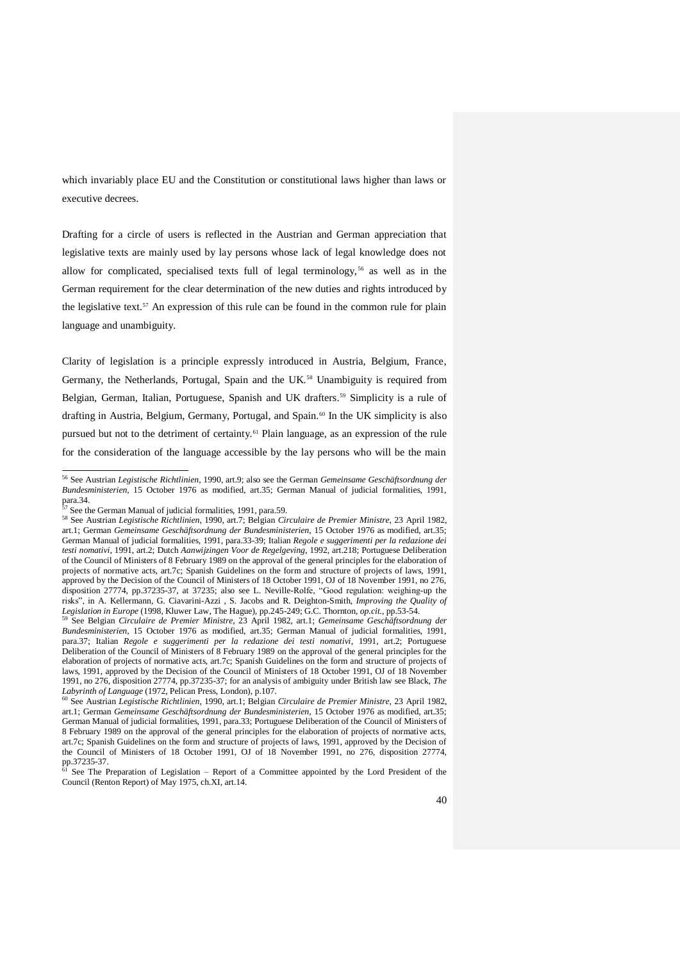which invariably place EU and the Constitution or constitutional laws higher than laws or executive decrees.

Drafting for a circle of users is reflected in the Austrian and German appreciation that legislative texts are mainly used by lay persons whose lack of legal knowledge does not allow for complicated, specialised texts full of legal terminology,<sup>56</sup> as well as in the German requirement for the clear determination of the new duties and rights introduced by the legislative text.<sup>57</sup> An expression of this rule can be found in the common rule for plain language and unambiguity.

Clarity of legislation is a principle expressly introduced in Austria, Belgium, France, Germany, the Netherlands, Portugal, Spain and the UK.<sup>58</sup> Unambiguity is required from Belgian, German, Italian, Portuguese, Spanish and UK drafters.<sup>59</sup> Simplicity is a rule of drafting in Austria, Belgium, Germany, Portugal, and Spain.<sup>60</sup> In the UK simplicity is also pursued but not to the detriment of certainty.<sup>61</sup> Plain language, as an expression of the rule for the consideration of the language accessible by the lay persons who will be the main

<u>.</u>

<sup>56</sup> See Austrian *Legistische Richtlinien*, 1990, art.9; also see the German *Gemeinsame Geschäftsordnung der Bundesministerien*, 15 October 1976 as modified, art.35; German Manual of judicial formalities, 1991,  $para.34.$ <sup>57</sup>

See the German Manual of judicial formalities, 1991, para.59.

<sup>58</sup> See Austrian *Legistische Richtlinien*, 1990, art.7; Belgian *Circulaire de Premier Ministre*, 23 April 1982, art.1; German *Gemeinsame Geschäftsordnung der Bundesministerien*, 15 October 1976 as modified, art.35; German Manual of judicial formalities, 1991, para.33-39; Italian *Regole e suggerimenti per la redazione dei testi nomativi*, 1991, art.2; Dutch *Aanwijzingen Voor de Regelgeving*, 1992, art.218; Portuguese Deliberation of the Council of Ministers of 8 February 1989 on the approval of the general principles for the elaboration of projects of normative acts, art.7c; Spanish Guidelines on the form and structure of projects of laws, 1991, approved by the Decision of the Council of Ministers of 18 October 1991, OJ of 18 November 1991, no 276, disposition 27774, pp.37235-37, at 37235; also see L. Neville-Rolfe, "Good regulation: weighing-up the risks", in A. Kellermann, G. Ciavarini-Azzi , S. Jacobs and R. Deighton-Smith, *Improving the Quality of Legislation in Europe* (1998, Kluwer Law, The Hague), pp.245-249; G.C. Thornton, *op.cit.*, pp.53-54.<br><sup>59</sup> See Belgian *Circulaire de Premier Ministre* 23, April 1992, and J. Corrective, *O.C.* Thornton, *op.cit.*, pp.53-

<sup>59</sup> See Belgian *Circulaire de Premier Ministre*, 23 April 1982, art.1; *Gemeinsame Geschäftsordnung der Bundesministerien*, 15 October 1976 as modified, art.35; German Manual of judicial formalities, 1991, para.37; Italian *Regole e suggerimenti per la redazione dei testi nomativi*, 1991, art.2; Portuguese Deliberation of the Council of Ministers of 8 February 1989 on the approval of the general principles for the elaboration of projects of normative acts, art.7c; Spanish Guidelines on the form and structure of projects of laws, 1991, approved by the Decision of the Council of Ministers of 18 October 1991, OJ of 18 November 1991, no 276, disposition 27774, pp.37235-37; for an analysis of ambiguity under British law see Black, *The Labyrinth of Language* (1972, Pelican Press, London), p.107.

<sup>60</sup> See Austrian *Legistische Richtlinien*, 1990, art.1; Belgian *Circulaire de Premier Ministre*, 23 April 1982, art.1; German *Gemeinsame Geschäftsordnung der Bundesministerien*, 15 October 1976 as modified, art.35; German Manual of judicial formalities, 1991, para.33; Portuguese Deliberation of the Council of Ministers of 8 February 1989 on the approval of the general principles for the elaboration of projects of normative acts, art.7c; Spanish Guidelines on the form and structure of projects of laws, 1991, approved by the Decision of the Council of Ministers of 18 October 1991, OJ of 18 November 1991, no 276, disposition 27774, pp.37235-37.

<sup>61</sup> See The Preparation of Legislation – Report of a Committee appointed by the Lord President of the Council (Renton Report) of May 1975, ch.XI, art.14.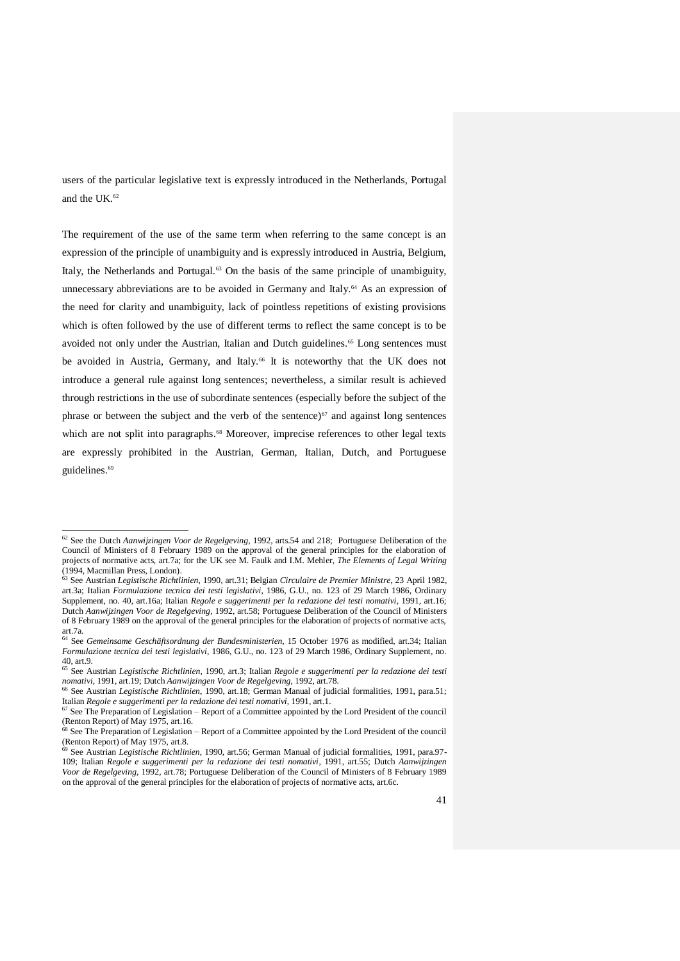users of the particular legislative text is expressly introduced in the Netherlands, Portugal and the UK.<sup>62</sup>

The requirement of the use of the same term when referring to the same concept is an expression of the principle of unambiguity and is expressly introduced in Austria, Belgium, Italy, the Netherlands and Portugal. $63$  On the basis of the same principle of unambiguity, unnecessary abbreviations are to be avoided in Germany and Italy.<sup>64</sup> As an expression of the need for clarity and unambiguity, lack of pointless repetitions of existing provisions which is often followed by the use of different terms to reflect the same concept is to be avoided not only under the Austrian, Italian and Dutch guidelines.<sup>65</sup> Long sentences must be avoided in Austria, Germany, and Italy.<sup>66</sup> It is noteworthy that the UK does not introduce a general rule against long sentences; nevertheless, a similar result is achieved through restrictions in the use of subordinate sentences (especially before the subject of the phrase or between the subject and the verb of the sentence) $67$  and against long sentences which are not split into paragraphs.<sup>68</sup> Moreover, imprecise references to other legal texts are expressly prohibited in the Austrian, German, Italian, Dutch, and Portuguese guidelines.<sup>69</sup>

<u>.</u>

<sup>62</sup> See the Dutch *Aanwijzingen Voor de Regelgeving*, 1992, arts.54 and 218; Portuguese Deliberation of the Council of Ministers of 8 February 1989 on the approval of the general principles for the elaboration of projects of normative acts, art.7a; for the UK see M. Faulk and I.M. Mehler, *The Elements of Legal Writing*  (1994, Macmillan Press, London).

<sup>63</sup> See Austrian *Legistische Richtlinien*, 1990, art.31; Belgian *Circulaire de Premier Ministre*, 23 April 1982, art.3a; Italian *Formulazione tecnica dei testi legislativi*, 1986, G.U., no. 123 of 29 March 1986, Ordinary Supplement, no. 40, art.16a; Italian *Regole e suggerimenti per la redazione dei testi nomativi*, 1991, art.16; Dutch *Aanwijzingen Voor de Regelgeving*, 1992, art.58; Portuguese Deliberation of the Council of Ministers of 8 February 1989 on the approval of the general principles for the elaboration of projects of normative acts, art.7a.

<sup>64</sup> See *Gemeinsame Geschäftsordnung der Bundesministerien*, 15 October 1976 as modified, art.34; Italian *Formulazione tecnica dei testi legislativi*, 1986, G.U., no. 123 of 29 March 1986, Ordinary Supplement, no. 40, art.9.

<sup>65</sup> See Austrian *Legistische Richtlinien*, 1990, art.3; Italian *Regole e suggerimenti per la redazione dei testi nomativi*, 1991, art.19; Dutch *Aanwijzingen Voor de Regelgeving*, 1992, art.78. <sup>66</sup> See Austrian *Legistische Richtlinien*, 1990, art.18; German Manual of judicial formalities, 1991, para.51;

Italian *Regole e suggerimenti per la redazione dei testi nomativi*, 1991, art.1.

 $67$  See The Preparation of Legislation – Report of a Committee appointed by the Lord President of the council (Renton Report) of May 1975, art.16.

<sup>&</sup>lt;sup>8</sup> See The Preparation of Legislation – Report of a Committee appointed by the Lord President of the council (Renton Report) of May 1975, art.8.

<sup>69</sup> See Austrian *Legistische Richtlinien*, 1990, art.56; German Manual of judicial formalities, 1991, para.97- 109; Italian *Regole e suggerimenti per la redazione dei testi nomativi*, 1991, art.55; Dutch *Aanwijzingen Voor de Regelgeving*, 1992, art.78; Portuguese Deliberation of the Council of Ministers of 8 February 1989 on the approval of the general principles for the elaboration of projects of normative acts, art.6c.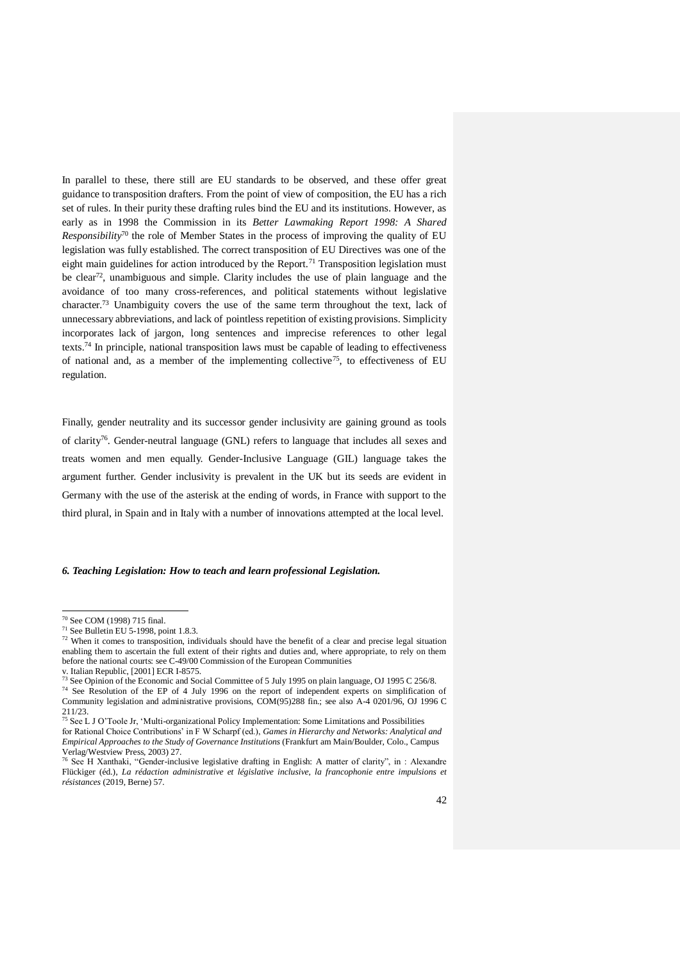In parallel to these, there still are EU standards to be observed, and these offer great guidance to transposition drafters. From the point of view of composition, the EU has a rich set of rules. In their purity these drafting rules bind the EU and its institutions. However, as early as in 1998 the Commission in its *Better Lawmaking Report 1998: A Shared Responsibility*<sup>70</sup> the role of Member States in the process of improving the quality of EU legislation was fully established. The correct transposition of EU Directives was one of the eight main guidelines for action introduced by the Report.<sup>71</sup> Transposition legislation must be clear<sup>72</sup>, unambiguous and simple. Clarity includes the use of plain language and the avoidance of too many cross-references, and political statements without legislative character.<sup>73</sup> Unambiguity covers the use of the same term throughout the text, lack of unnecessary abbreviations, and lack of pointless repetition of existing provisions. Simplicity incorporates lack of jargon, long sentences and imprecise references to other legal texts.<sup>74</sup> In principle, national transposition laws must be capable of leading to effectiveness of national and, as a member of the implementing collective<sup>75</sup>, to effectiveness of EU regulation.

Finally, gender neutrality and its successor gender inclusivity are gaining ground as tools of clarity<sup>76</sup>. Gender-neutral language (GNL) refers to language that includes all sexes and treats women and men equally. Gender-Inclusive Language (GIL) language takes the argument further. Gender inclusivity is prevalent in the UK but its seeds are evident in Germany with the use of the asterisk at the ending of words, in France with support to the third plural, in Spain and in Italy with a number of innovations attempted at the local level.

### *6. Teaching Legislation: How to teach and learn professional Legislation.*

<u>.</u>

<sup>74</sup> See Resolution of the EP of 4 July 1996 on the report of independent experts on simplification of Community legislation and administrative provisions, COM(95)288 fin.; see also A-4 0201/96, OJ 1996 C 211/23.

<sup>70</sup> See COM (1998) 715 final.

 $71$  See Bulletin EU 5-1998, point 1.8.3.

<sup>&</sup>lt;sup>72</sup> When it comes to transposition, individuals should have the benefit of a clear and precise legal situation enabling them to ascertain the full extent of their rights and duties and, where appropriate, to rely on them before the national courts: see C-49/00 Commission of the European Communities v. Italian Republic,  $[2001]$  ECR I-8575.

<sup>73</sup> See Opinion of the Economic and Social Committee of 5 July 1995 on plain language, OJ 1995 C 256/8.

<sup>75</sup> See L J O'Toole Jr, 'Multi-organizational Policy Implementation: Some Limitations and Possibilities for Rational Choice Contributions' in F W Scharpf (ed.), *Games in Hierarchy and Networks: Analytical and Empirical Approaches to the Study of Governance Institutions* (Frankfurt am Main/Boulder, Colo., Campus Verlag/Westview Press, 2003) 27.<br><sup>76</sup> See H Xanthaki, "Gender-inclusive legislative drafting in English: A matter of clarity", in : Alexandre

Flückiger (éd.), *La rédaction administrative et législative inclusive, la francophonie entre impulsions et résistances* (2019, Berne) 57.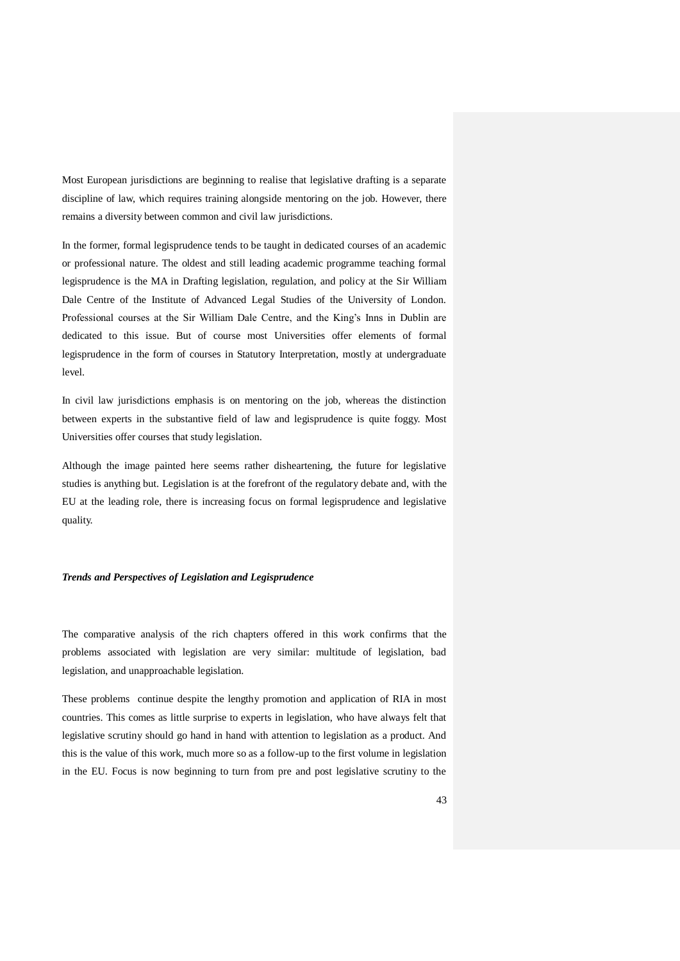Most European jurisdictions are beginning to realise that legislative drafting is a separate discipline of law, which requires training alongside mentoring on the job. However, there remains a diversity between common and civil law jurisdictions.

In the former, formal legisprudence tends to be taught in dedicated courses of an academic or professional nature. The oldest and still leading academic programme teaching formal legisprudence is the MA in Drafting legislation, regulation, and policy at the Sir William Dale Centre of the Institute of Advanced Legal Studies of the University of London. Professional courses at the Sir William Dale Centre, and the King's Inns in Dublin are dedicated to this issue. But of course most Universities offer elements of formal legisprudence in the form of courses in Statutory Interpretation, mostly at undergraduate level.

In civil law jurisdictions emphasis is on mentoring on the job, whereas the distinction between experts in the substantive field of law and legisprudence is quite foggy. Most Universities offer courses that study legislation.

Although the image painted here seems rather disheartening, the future for legislative studies is anything but. Legislation is at the forefront of the regulatory debate and, with the EU at the leading role, there is increasing focus on formal legisprudence and legislative quality.

## *Trends and Perspectives of Legislation and Legisprudence*

The comparative analysis of the rich chapters offered in this work confirms that the problems associated with legislation are very similar: multitude of legislation, bad legislation, and unapproachable legislation.

These problems continue despite the lengthy promotion and application of RIA in most countries. This comes as little surprise to experts in legislation, who have always felt that legislative scrutiny should go hand in hand with attention to legislation as a product. And this is the value of this work, much more so as a follow-up to the first volume in legislation in the EU. Focus is now beginning to turn from pre and post legislative scrutiny to the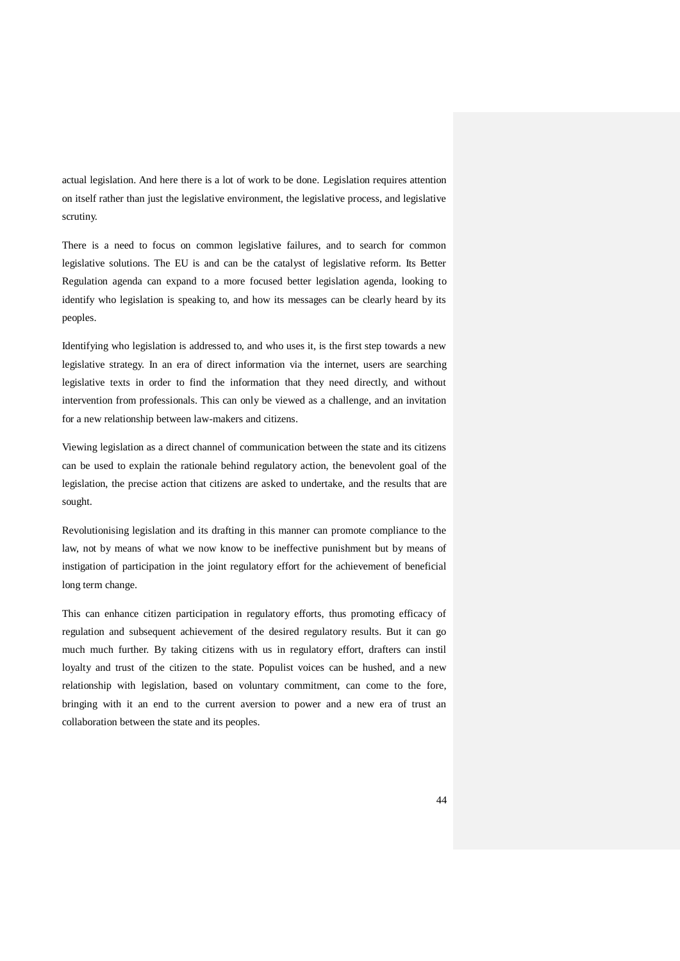actual legislation. And here there is a lot of work to be done. Legislation requires attention on itself rather than just the legislative environment, the legislative process, and legislative scrutiny.

There is a need to focus on common legislative failures, and to search for common legislative solutions. The EU is and can be the catalyst of legislative reform. Its Better Regulation agenda can expand to a more focused better legislation agenda, looking to identify who legislation is speaking to, and how its messages can be clearly heard by its peoples.

Identifying who legislation is addressed to, and who uses it, is the first step towards a new legislative strategy. In an era of direct information via the internet, users are searching legislative texts in order to find the information that they need directly, and without intervention from professionals. This can only be viewed as a challenge, and an invitation for a new relationship between law-makers and citizens.

Viewing legislation as a direct channel of communication between the state and its citizens can be used to explain the rationale behind regulatory action, the benevolent goal of the legislation, the precise action that citizens are asked to undertake, and the results that are sought.

Revolutionising legislation and its drafting in this manner can promote compliance to the law, not by means of what we now know to be ineffective punishment but by means of instigation of participation in the joint regulatory effort for the achievement of beneficial long term change.

This can enhance citizen participation in regulatory efforts, thus promoting efficacy of regulation and subsequent achievement of the desired regulatory results. But it can go much much further. By taking citizens with us in regulatory effort, drafters can instil loyalty and trust of the citizen to the state. Populist voices can be hushed, and a new relationship with legislation, based on voluntary commitment, can come to the fore, bringing with it an end to the current aversion to power and a new era of trust an collaboration between the state and its peoples.